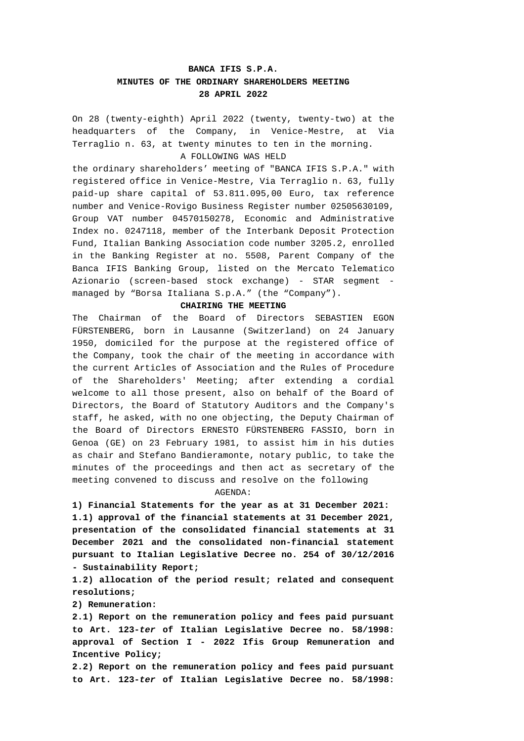# **BANCA IFIS S.P.A. MINUTES OF THE ORDINARY SHAREHOLDERS MEETING 28 APRIL 2022**

On 28 (twenty-eighth) April 2022 (twenty, twenty-two) at the headquarters of the Company, in Venice-Mestre, at Via Terraglio n. 63, at twenty minutes to ten in the morning. A FOLLOWING WAS HELD

the ordinary shareholders' meeting of "BANCA IFIS S.P.A." with registered office in Venice-Mestre, Via Terraglio n. 63, fully paid-up share capital of 53.811.095,00 Euro, tax reference number and Venice-Rovigo Business Register number 02505630109, Group VAT number 04570150278, Economic and Administrative Index no. 0247118, member of the Interbank Deposit Protection Fund, Italian Banking Association code number 3205.2, enrolled in the Banking Register at no. 5508, Parent Company of the Banca IFIS Banking Group, listed on the Mercato Telematico Azionario (screen-based stock exchange) - STAR segment managed by "Borsa Italiana S.p.A." (the "Company").

#### **CHAIRING THE MEETING**

The Chairman of the Board of Directors SEBASTIEN EGON FÜRSTENBERG, born in Lausanne (Switzerland) on 24 January 1950, domiciled for the purpose at the registered office of the Company, took the chair of the meeting in accordance with the current Articles of Association and the Rules of Procedure of the Shareholders' Meeting; after extending a cordial welcome to all those present, also on behalf of the Board of Directors, the Board of Statutory Auditors and the Company's staff, he asked, with no one objecting, the Deputy Chairman of the Board of Directors ERNESTO FÜRSTENBERG FASSIO, born in Genoa (GE) on 23 February 1981, to assist him in his duties as chair and Stefano Bandieramonte, notary public, to take the minutes of the proceedings and then act as secretary of the meeting convened to discuss and resolve on the following

#### AGENDA:

**1) Financial Statements for the year as at 31 December 2021: 1.1) approval of the financial statements at 31 December 2021, presentation of the consolidated financial statements at 31 December 2021 and the consolidated non-financial statement pursuant to Italian Legislative Decree no. 254 of 30/12/2016 - Sustainability Report;** 

**1.2) allocation of the period result; related and consequent resolutions;** 

**2) Remuneration:** 

**2.1) Report on the remuneration policy and fees paid pursuant to Art. 123-***ter* **of Italian Legislative Decree no. 58/1998: approval of Section I - 2022 Ifis Group Remuneration and Incentive Policy;** 

**2.2) Report on the remuneration policy and fees paid pursuant to Art. 123-***ter* **of Italian Legislative Decree no. 58/1998:**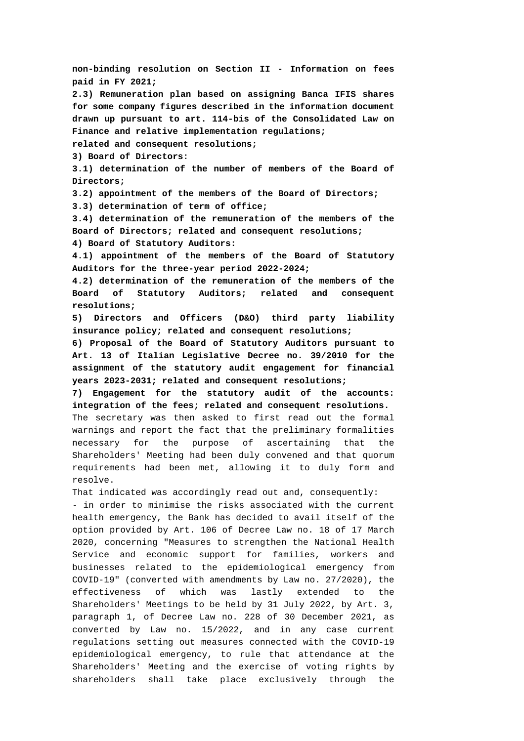**non-binding resolution on Section II - Information on fees paid in FY 2021; 2.3) Remuneration plan based on assigning Banca IFIS shares for some company figures described in the information document drawn up pursuant to art. 114-bis of the Consolidated Law on Finance and relative implementation regulations; related and consequent resolutions; 3) Board of Directors: 3.1) determination of the number of members of the Board of Directors; 3.2) appointment of the members of the Board of Directors; 3.3) determination of term of office; 3.4) determination of the remuneration of the members of the Board of Directors; related and consequent resolutions; 4) Board of Statutory Auditors: 4.1) appointment of the members of the Board of Statutory Auditors for the three-year period 2022-2024; 4.2) determination of the remuneration of the members of the Board of Statutory Auditors; related and consequent resolutions; 5) Directors and Officers (D&O) third party liability insurance policy; related and consequent resolutions; 6) Proposal of the Board of Statutory Auditors pursuant to Art. 13 of Italian Legislative Decree no. 39/2010 for the assignment of the statutory audit engagement for financial years 2023-2031; related and consequent resolutions; 7) Engagement for the statutory audit of the accounts: integration of the fees; related and consequent resolutions.**  The secretary was then asked to first read out the formal warnings and report the fact that the preliminary formalities necessary for the purpose of ascertaining that the Shareholders' Meeting had been duly convened and that quorum requirements had been met, allowing it to duly form and resolve. That indicated was accordingly read out and, consequently: - in order to minimise the risks associated with the current health emergency, the Bank has decided to avail itself of the option provided by Art. 106 of Decree Law no. 18 of 17 March 2020, concerning "Measures to strengthen the National Health Service and economic support for families, workers and businesses related to the epidemiological emergency from COVID-19" (converted with amendments by Law no. 27/2020), the effectiveness of which was lastly extended to the Shareholders' Meetings to be held by 31 July 2022, by Art. 3, paragraph 1, of Decree Law no. 228 of 30 December 2021, as converted by Law no. 15/2022, and in any case current regulations setting out measures connected with the COVID-19 epidemiological emergency, to rule that attendance at the Shareholders' Meeting and the exercise of voting rights by shareholders shall take place exclusively through the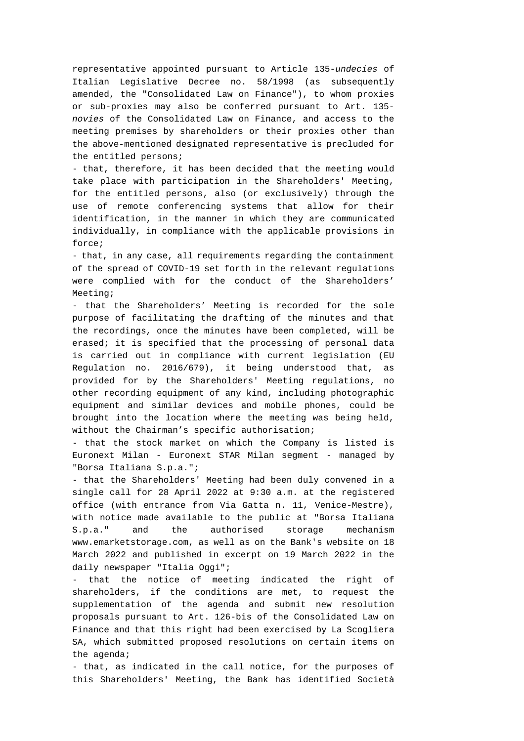representative appointed pursuant to Article 135-*undecies* of Italian Legislative Decree no. 58/1998 (as subsequently amended, the "Consolidated Law on Finance"), to whom proxies or sub-proxies may also be conferred pursuant to Art. 135 *novies* of the Consolidated Law on Finance, and access to the meeting premises by shareholders or their proxies other than the above-mentioned designated representative is precluded for the entitled persons;

- that, therefore, it has been decided that the meeting would take place with participation in the Shareholders' Meeting, for the entitled persons, also (or exclusively) through the use of remote conferencing systems that allow for their identification, in the manner in which they are communicated individually, in compliance with the applicable provisions in force;

- that, in any case, all requirements regarding the containment of the spread of COVID-19 set forth in the relevant regulations were complied with for the conduct of the Shareholders' Meeting;

- that the Shareholders' Meeting is recorded for the sole purpose of facilitating the drafting of the minutes and that the recordings, once the minutes have been completed, will be erased; it is specified that the processing of personal data is carried out in compliance with current legislation (EU Regulation no. 2016/679), it being understood that, as provided for by the Shareholders' Meeting regulations, no other recording equipment of any kind, including photographic equipment and similar devices and mobile phones, could be brought into the location where the meeting was being held, without the Chairman's specific authorisation;

- that the stock market on which the Company is listed is Euronext Milan - Euronext STAR Milan segment - managed by "Borsa Italiana S.p.a.";

- that the Shareholders' Meeting had been duly convened in a single call for 28 April 2022 at 9:30 a.m. at the registered office (with entrance from Via Gatta n. 11, Venice-Mestre), with notice made available to the public at "Borsa Italiana S.p.a." and the authorised storage mechanism www.emarketstorage.com, as well as on the Bank's website on 18 March 2022 and published in excerpt on 19 March 2022 in the daily newspaper "Italia Oggi";

- that the notice of meeting indicated the right of shareholders, if the conditions are met, to request the supplementation of the agenda and submit new resolution proposals pursuant to Art. 126-bis of the Consolidated Law on Finance and that this right had been exercised by La Scogliera SA, which submitted proposed resolutions on certain items on the agenda;

- that, as indicated in the call notice, for the purposes of this Shareholders' Meeting, the Bank has identified Società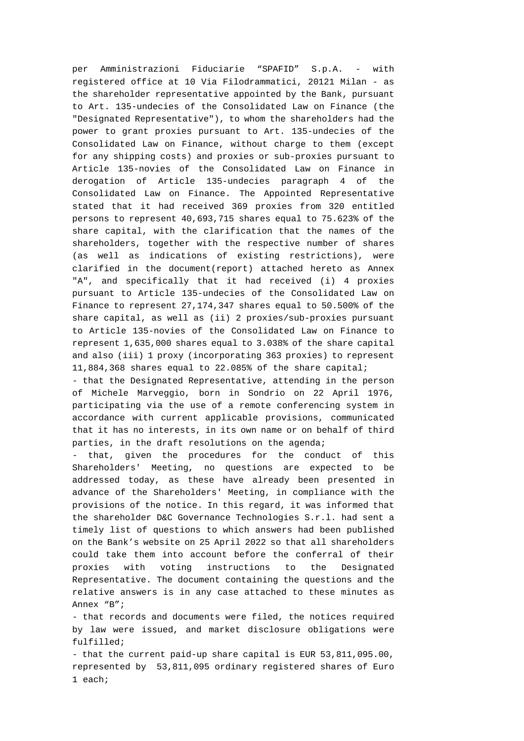per Amministrazioni Fiduciarie "SPAFID" S.p.A. - with registered office at 10 Via Filodrammatici, 20121 Milan - as the shareholder representative appointed by the Bank, pursuant to Art. 135-undecies of the Consolidated Law on Finance (the "Designated Representative"), to whom the shareholders had the power to grant proxies pursuant to Art. 135-undecies of the Consolidated Law on Finance, without charge to them (except for any shipping costs) and proxies or sub-proxies pursuant to Article 135-novies of the Consolidated Law on Finance in derogation of Article 135-undecies paragraph 4 of the Consolidated Law on Finance. The Appointed Representative stated that it had received 369 proxies from 320 entitled persons to represent 40,693,715 shares equal to 75.623% of the share capital, with the clarification that the names of the shareholders, together with the respective number of shares (as well as indications of existing restrictions), were clarified in the document(report) attached hereto as Annex "A", and specifically that it had received (i) 4 proxies pursuant to Article 135-undecies of the Consolidated Law on Finance to represent 27,174,347 shares equal to 50.500% of the share capital, as well as (ii) 2 proxies/sub-proxies pursuant to Article 135-novies of the Consolidated Law on Finance to represent 1,635,000 shares equal to 3.038% of the share capital and also (iii) 1 proxy (incorporating 363 proxies) to represent 11,884,368 shares equal to 22.085% of the share capital;

- that the Designated Representative, attending in the person of Michele Marveggio, born in Sondrio on 22 April 1976, participating via the use of a remote conferencing system in accordance with current applicable provisions, communicated that it has no interests, in its own name or on behalf of third parties, in the draft resolutions on the agenda;

- that, given the procedures for the conduct of this Shareholders' Meeting, no questions are expected to be addressed today, as these have already been presented in advance of the Shareholders' Meeting, in compliance with the provisions of the notice. In this regard, it was informed that the shareholder D&C Governance Technologies S.r.l. had sent a timely list of questions to which answers had been published on the Bank's website on 25 April 2022 so that all shareholders could take them into account before the conferral of their proxies with voting instructions to the Designated Representative. The document containing the questions and the relative answers is in any case attached to these minutes as Annex "B";

- that records and documents were filed, the notices required by law were issued, and market disclosure obligations were fulfilled;

- that the current paid-up share capital is EUR 53,811,095.00, represented by 53,811,095 ordinary registered shares of Euro 1 each;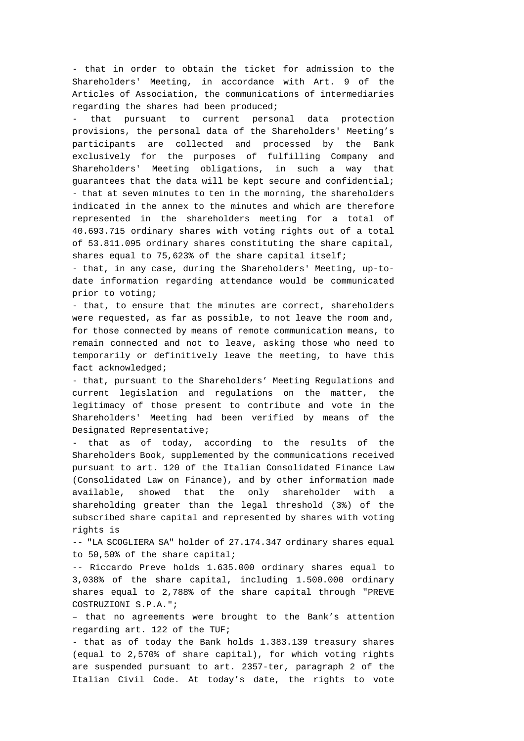- that in order to obtain the ticket for admission to the Shareholders' Meeting, in accordance with Art. 9 of the Articles of Association, the communications of intermediaries regarding the shares had been produced;

that pursuant to current personal data protection provisions, the personal data of the Shareholders' Meeting's participants are collected and processed by the Bank exclusively for the purposes of fulfilling Company and Shareholders' Meeting obligations, in such a way that guarantees that the data will be kept secure and confidential; - that at seven minutes to ten in the morning, the shareholders indicated in the annex to the minutes and which are therefore represented in the shareholders meeting for a total of 40.693.715 ordinary shares with voting rights out of a total of 53.811.095 ordinary shares constituting the share capital, shares equal to 75,623% of the share capital itself;

- that, in any case, during the Shareholders' Meeting, up-todate information regarding attendance would be communicated prior to voting;

- that, to ensure that the minutes are correct, shareholders were requested, as far as possible, to not leave the room and, for those connected by means of remote communication means, to remain connected and not to leave, asking those who need to temporarily or definitively leave the meeting, to have this fact acknowledged;

- that, pursuant to the Shareholders' Meeting Regulations and current legislation and regulations on the matter, the legitimacy of those present to contribute and vote in the Shareholders' Meeting had been verified by means of the Designated Representative;

- that as of today, according to the results of the Shareholders Book, supplemented by the communications received pursuant to art. 120 of the Italian Consolidated Finance Law (Consolidated Law on Finance), and by other information made available, showed that the only shareholder with a shareholding greater than the legal threshold (3%) of the subscribed share capital and represented by shares with voting rights is

-- "LA SCOGLIERA SA" holder of 27.174.347 ordinary shares equal to 50,50% of the share capital;

-- Riccardo Preve holds 1.635.000 ordinary shares equal to 3,038% of the share capital, including 1.500.000 ordinary shares equal to 2,788% of the share capital through "PREVE COSTRUZIONI S.P.A.";

– that no agreements were brought to the Bank's attention regarding art. 122 of the TUF;

- that as of today the Bank holds 1.383.139 treasury shares (equal to 2,570% of share capital), for which voting rights are suspended pursuant to art. 2357-ter, paragraph 2 of the Italian Civil Code. At today's date, the rights to vote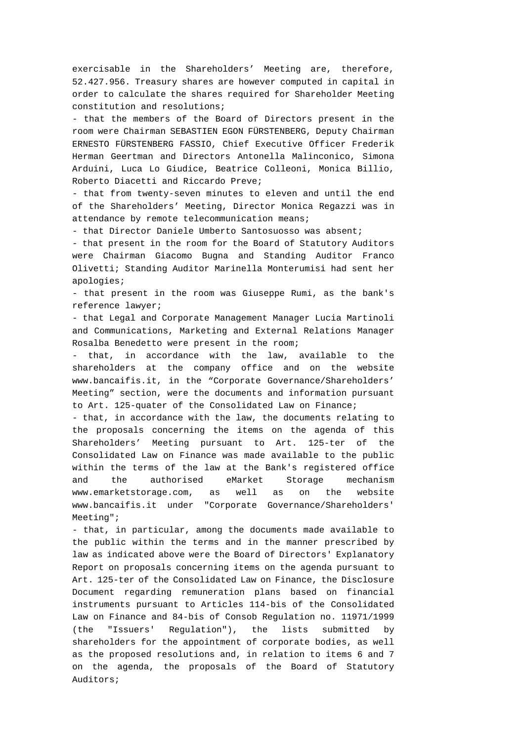exercisable in the Shareholders' Meeting are, therefore, 52.427.956. Treasury shares are however computed in capital in order to calculate the shares required for Shareholder Meeting constitution and resolutions;

- that the members of the Board of Directors present in the room were Chairman SEBASTIEN EGON FÜRSTENBERG, Deputy Chairman ERNESTO FÜRSTENBERG FASSIO, Chief Executive Officer Frederik Herman Geertman and Directors Antonella Malinconico, Simona Arduini, Luca Lo Giudice, Beatrice Colleoni, Monica Billio, Roberto Diacetti and Riccardo Preve;

- that from twenty-seven minutes to eleven and until the end of the Shareholders' Meeting, Director Monica Regazzi was in attendance by remote telecommunication means;

- that Director Daniele Umberto Santosuosso was absent;

- that present in the room for the Board of Statutory Auditors were Chairman Giacomo Bugna and Standing Auditor Franco Olivetti; Standing Auditor Marinella Monterumisi had sent her apologies;

- that present in the room was Giuseppe Rumi, as the bank's reference lawyer;

- that Legal and Corporate Management Manager Lucia Martinoli and Communications, Marketing and External Relations Manager Rosalba Benedetto were present in the room;

that, in accordance with the law, available to the shareholders at the company office and on the website www.bancaifis.it, in the "Corporate Governance/Shareholders' Meeting" section, were the documents and information pursuant to Art. 125-quater of the Consolidated Law on Finance;

- that, in accordance with the law, the documents relating to the proposals concerning the items on the agenda of this Shareholders' Meeting pursuant to Art. 125-ter of the Consolidated Law on Finance was made available to the public within the terms of the law at the Bank's registered office and the authorised eMarket Storage mechanism www.emarketstorage.com, as well as on the website www.bancaifis.it under "Corporate Governance/Shareholders' Meeting";

- that, in particular, among the documents made available to the public within the terms and in the manner prescribed by law as indicated above were the Board of Directors' Explanatory Report on proposals concerning items on the agenda pursuant to Art. 125-ter of the Consolidated Law on Finance, the Disclosure Document regarding remuneration plans based on financial instruments pursuant to Articles 114-bis of the Consolidated Law on Finance and 84-bis of Consob Regulation no. 11971/1999 (the "Issuers' Regulation"), the lists submitted by shareholders for the appointment of corporate bodies, as well as the proposed resolutions and, in relation to items 6 and 7 on the agenda, the proposals of the Board of Statutory Auditors;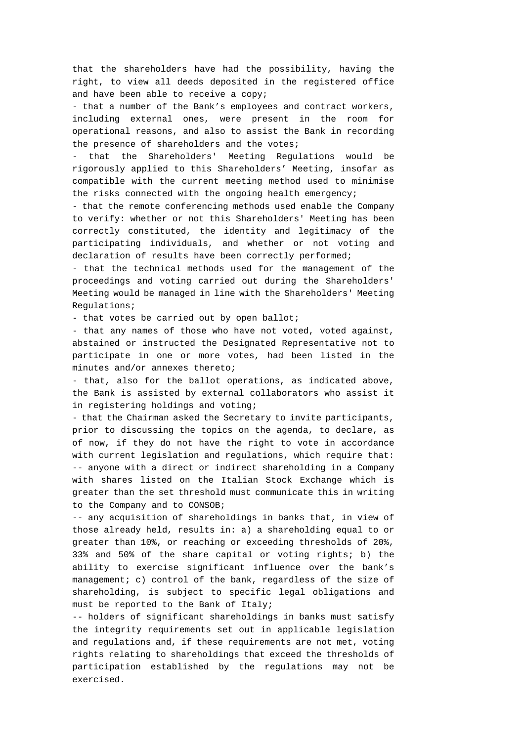that the shareholders have had the possibility, having the right, to view all deeds deposited in the registered office and have been able to receive a copy;

- that a number of the Bank's employees and contract workers, including external ones, were present in the room for operational reasons, and also to assist the Bank in recording the presence of shareholders and the votes;

that the Shareholders' Meeting Regulations would be rigorously applied to this Shareholders' Meeting, insofar as compatible with the current meeting method used to minimise the risks connected with the ongoing health emergency;

- that the remote conferencing methods used enable the Company to verify: whether or not this Shareholders' Meeting has been correctly constituted, the identity and legitimacy of the participating individuals, and whether or not voting and declaration of results have been correctly performed;

- that the technical methods used for the management of the proceedings and voting carried out during the Shareholders' Meeting would be managed in line with the Shareholders' Meeting Regulations;

- that votes be carried out by open ballot;

- that any names of those who have not voted, voted against, abstained or instructed the Designated Representative not to participate in one or more votes, had been listed in the minutes and/or annexes thereto;

- that, also for the ballot operations, as indicated above, the Bank is assisted by external collaborators who assist it in registering holdings and voting;

- that the Chairman asked the Secretary to invite participants, prior to discussing the topics on the agenda, to declare, as of now, if they do not have the right to vote in accordance with current legislation and regulations, which require that: -- anyone with a direct or indirect shareholding in a Company with shares listed on the Italian Stock Exchange which is greater than the set threshold must communicate this in writing to the Company and to CONSOB;

-- any acquisition of shareholdings in banks that, in view of those already held, results in: a) a shareholding equal to or greater than 10%, or reaching or exceeding thresholds of 20%, 33% and 50% of the share capital or voting rights; b) the ability to exercise significant influence over the bank's management; c) control of the bank, regardless of the size of shareholding, is subject to specific legal obligations and must be reported to the Bank of Italy;

-- holders of significant shareholdings in banks must satisfy the integrity requirements set out in applicable legislation and regulations and, if these requirements are not met, voting rights relating to shareholdings that exceed the thresholds of participation established by the regulations may not be exercised.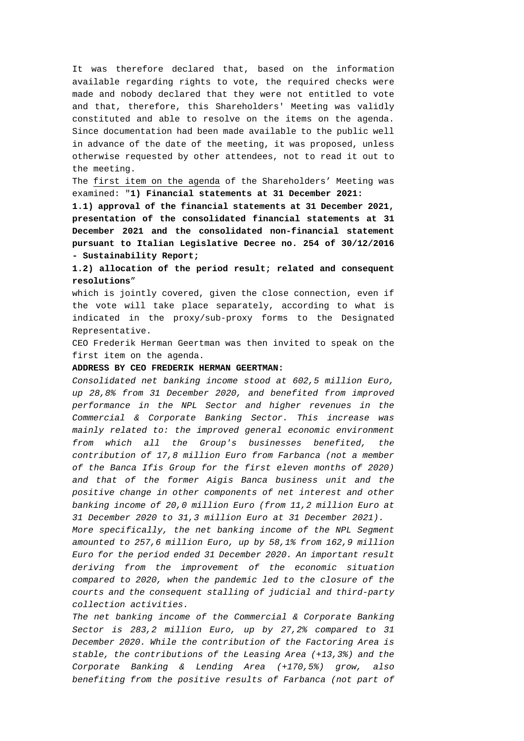It was therefore declared that, based on the information available regarding rights to vote, the required checks were made and nobody declared that they were not entitled to vote and that, therefore, this Shareholders' Meeting was validly constituted and able to resolve on the items on the agenda. Since documentation had been made available to the public well in advance of the date of the meeting, it was proposed, unless otherwise requested by other attendees, not to read it out to the meeting.

The first item on the agenda of the Shareholders' Meeting was examined: "**1) Financial statements at 31 December 2021:** 

**1.1) approval of the financial statements at 31 December 2021, presentation of the consolidated financial statements at 31 December 2021 and the consolidated non-financial statement pursuant to Italian Legislative Decree no. 254 of 30/12/2016 - Sustainability Report;** 

**1.2) allocation of the period result; related and consequent resolutions**"

which is jointly covered, given the close connection, even if the vote will take place separately, according to what is indicated in the proxy/sub-proxy forms to the Designated Representative.

CEO Frederik Herman Geertman was then invited to speak on the first item on the agenda.

## **ADDRESS BY CEO FREDERIK HERMAN GEERTMAN:**

*Consolidated net banking income stood at 602,5 million Euro, up 28,8% from 31 December 2020, and benefited from improved performance in the NPL Sector and higher revenues in the Commercial & Corporate Banking Sector. This increase was mainly related to: the improved general economic environment from which all the Group's businesses benefited, the contribution of 17,8 million Euro from Farbanca (not a member of the Banca Ifis Group for the first eleven months of 2020) and that of the former Aigis Banca business unit and the positive change in other components of net interest and other banking income of 20,0 million Euro (from 11,2 million Euro at 31 December 2020 to 31,3 million Euro at 31 December 2021).* 

*More specifically, the net banking income of the NPL Segment amounted to 257,6 million Euro, up by 58,1% from 162,9 million Euro for the period ended 31 December 2020. An important result deriving from the improvement of the economic situation compared to 2020, when the pandemic led to the closure of the courts and the consequent stalling of judicial and third-party collection activities.* 

*The net banking income of the Commercial & Corporate Banking Sector is 283,2 million Euro, up by 27,2% compared to 31 December 2020. While the contribution of the Factoring Area is stable, the contributions of the Leasing Area (+13,3%) and the Corporate Banking & Lending Area (+170,5%) grow, also benefiting from the positive results of Farbanca (not part of*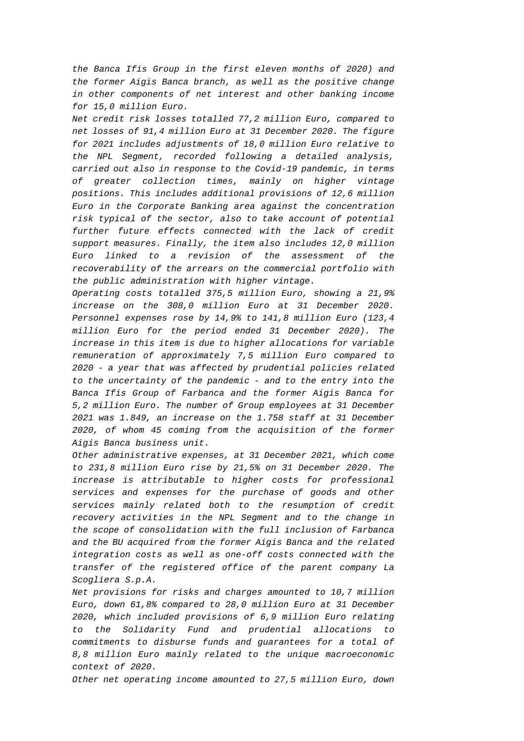*the Banca Ifis Group in the first eleven months of 2020) and the former Aigis Banca branch, as well as the positive change in other components of net interest and other banking income for 15,0 million Euro.* 

*Net credit risk losses totalled 77,2 million Euro, compared to net losses of 91,4 million Euro at 31 December 2020. The figure for 2021 includes adjustments of 18,0 million Euro relative to the NPL Segment, recorded following a detailed analysis, carried out also in response to the Covid-19 pandemic, in terms of greater collection times, mainly on higher vintage positions. This includes additional provisions of 12,6 million Euro in the Corporate Banking area against the concentration risk typical of the sector, also to take account of potential further future effects connected with the lack of credit support measures. Finally, the item also includes 12,0 million Euro linked to a revision of the assessment of the recoverability of the arrears on the commercial portfolio with the public administration with higher vintage.* 

*Operating costs totalled 375,5 million Euro, showing a 21,9% increase on the 308,0 million Euro at 31 December 2020. Personnel expenses rose by 14,9% to 141,8 million Euro (123,4 million Euro for the period ended 31 December 2020). The increase in this item is due to higher allocations for variable remuneration of approximately 7,5 million Euro compared to 2020 - a year that was affected by prudential policies related to the uncertainty of the pandemic - and to the entry into the Banca Ifis Group of Farbanca and the former Aigis Banca for 5,2 million Euro. The number of Group employees at 31 December 2021 was 1.849, an increase on the 1.758 staff at 31 December 2020, of whom 45 coming from the acquisition of the former Aigis Banca business unit.* 

*Other administrative expenses, at 31 December 2021, which come to 231,8 million Euro rise by 21,5% on 31 December 2020. The increase is attributable to higher costs for professional services and expenses for the purchase of goods and other services mainly related both to the resumption of credit recovery activities in the NPL Segment and to the change in the scope of consolidation with the full inclusion of Farbanca and the BU acquired from the former Aigis Banca and the related integration costs as well as one-off costs connected with the transfer of the registered office of the parent company La Scogliera S.p.A.* 

*Net provisions for risks and charges amounted to 10,7 million Euro, down 61,8% compared to 28,0 million Euro at 31 December 2020, which included provisions of 6,9 million Euro relating to the Solidarity Fund and prudential allocations to commitments to disburse funds and guarantees for a total of 8,8 million Euro mainly related to the unique macroeconomic context of 2020.* 

*Other net operating income amounted to 27,5 million Euro, down*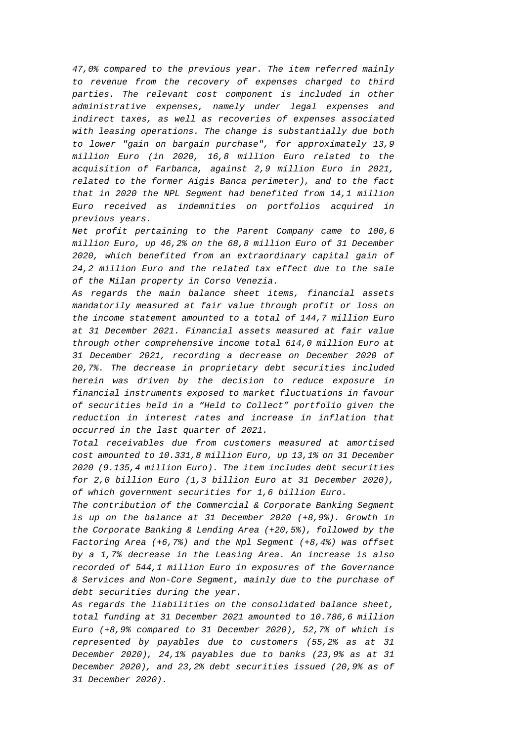*47,0% compared to the previous year. The item referred mainly to revenue from the recovery of expenses charged to third parties. The relevant cost component is included in other administrative expenses, namely under legal expenses and indirect taxes, as well as recoveries of expenses associated with leasing operations. The change is substantially due both to lower "gain on bargain purchase", for approximately 13,9 million Euro (in 2020, 16,8 million Euro related to the acquisition of Farbanca, against 2,9 million Euro in 2021, related to the former Aigis Banca perimeter), and to the fact that in 2020 the NPL Segment had benefited from 14,1 million Euro received as indemnities on portfolios acquired in previous years.* 

*Net profit pertaining to the Parent Company came to 100,6 million Euro, up 46,2% on the 68,8 million Euro of 31 December 2020, which benefited from an extraordinary capital gain of 24,2 million Euro and the related tax effect due to the sale of the Milan property in Corso Venezia.* 

*As regards the main balance sheet items, financial assets mandatorily measured at fair value through profit or loss on the income statement amounted to a total of 144,7 million Euro at 31 December 2021. Financial assets measured at fair value through other comprehensive income total 614,0 million Euro at 31 December 2021, recording a decrease on December 2020 of 20,7%. The decrease in proprietary debt securities included herein was driven by the decision to reduce exposure in financial instruments exposed to market fluctuations in favour of securities held in a "Held to Collect" portfolio given the reduction in interest rates and increase in inflation that occurred in the last quarter of 2021.* 

*Total receivables due from customers measured at amortised cost amounted to 10.331,8 million Euro, up 13,1% on 31 December 2020 (9.135,4 million Euro). The item includes debt securities for 2,0 billion Euro (1,3 billion Euro at 31 December 2020), of which government securities for 1,6 billion Euro.* 

*The contribution of the Commercial & Corporate Banking Segment is up on the balance at 31 December 2020 (+8,9%). Growth in the Corporate Banking & Lending Area (+20,5%), followed by the Factoring Area (+6,7%) and the Npl Segment (+8,4%) was offset by a 1,7% decrease in the Leasing Area. An increase is also recorded of 544,1 million Euro in exposures of the Governance & Services and Non-Core Segment, mainly due to the purchase of debt securities during the year.* 

*As regards the liabilities on the consolidated balance sheet, total funding at 31 December 2021 amounted to 10.786,6 million Euro (+8,9% compared to 31 December 2020), 52,7% of which is represented by payables due to customers (55,2% as at 31 December 2020), 24,1% payables due to banks (23,9% as at 31 December 2020), and 23,2% debt securities issued (20,9% as of 31 December 2020).*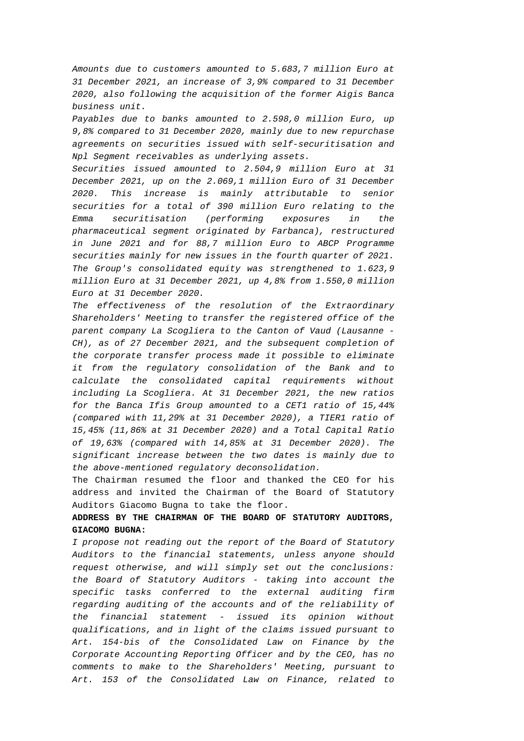*Amounts due to customers amounted to 5.683,7 million Euro at 31 December 2021, an increase of 3,9% compared to 31 December 2020, also following the acquisition of the former Aigis Banca business unit.* 

*Payables due to banks amounted to 2.598,0 million Euro, up 9,8% compared to 31 December 2020, mainly due to new repurchase agreements on securities issued with self-securitisation and Npl Segment receivables as underlying assets.* 

*Securities issued amounted to 2.504,9 million Euro at 31 December 2021, up on the 2.069,1 million Euro of 31 December 2020. This increase is mainly attributable to senior securities for a total of 390 million Euro relating to the Emma securitisation (performing exposures in the pharmaceutical segment originated by Farbanca), restructured in June 2021 and for 88,7 million Euro to ABCP Programme securities mainly for new issues in the fourth quarter of 2021. The Group's consolidated equity was strengthened to 1.623,9 million Euro at 31 December 2021, up 4,8% from 1.550,0 million Euro at 31 December 2020.* 

*The effectiveness of the resolution of the Extraordinary Shareholders' Meeting to transfer the registered office of the parent company La Scogliera to the Canton of Vaud (Lausanne - CH), as of 27 December 2021, and the subsequent completion of the corporate transfer process made it possible to eliminate it from the regulatory consolidation of the Bank and to calculate the consolidated capital requirements without including La Scogliera. At 31 December 2021, the new ratios for the Banca Ifis Group amounted to a CET1 ratio of 15,44% (compared with 11,29% at 31 December 2020), a TIER1 ratio of 15,45% (11,86% at 31 December 2020) and a Total Capital Ratio of 19,63% (compared with 14,85% at 31 December 2020). The significant increase between the two dates is mainly due to the above-mentioned regulatory deconsolidation.* 

The Chairman resumed the floor and thanked the CEO for his address and invited the Chairman of the Board of Statutory Auditors Giacomo Bugna to take the floor.

# **ADDRESS BY THE CHAIRMAN OF THE BOARD OF STATUTORY AUDITORS, GIACOMO BUGNA:**

*I propose not reading out the report of the Board of Statutory Auditors to the financial statements, unless anyone should request otherwise, and will simply set out the conclusions: the Board of Statutory Auditors - taking into account the specific tasks conferred to the external auditing firm regarding auditing of the accounts and of the reliability of the financial statement - issued its opinion without qualifications, and in light of the claims issued pursuant to Art. 154-bis of the Consolidated Law on Finance by the Corporate Accounting Reporting Officer and by the CEO, has no comments to make to the Shareholders' Meeting, pursuant to Art. 153 of the Consolidated Law on Finance, related to*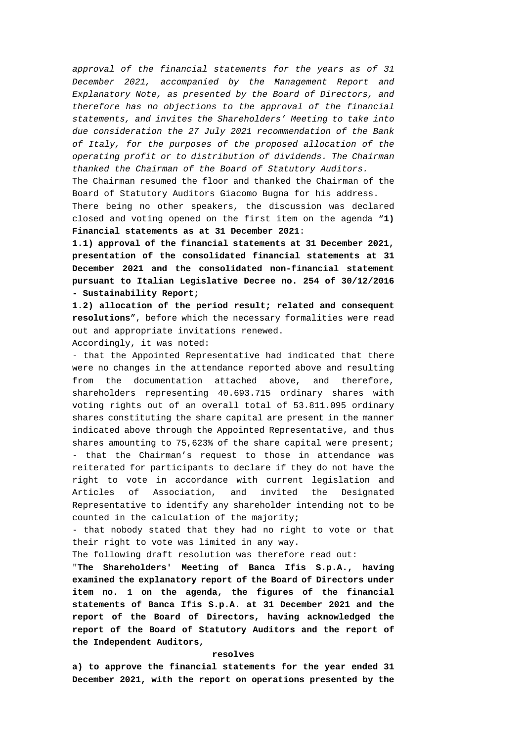*approval of the financial statements for the years as of 31 December 2021, accompanied by the Management Report and Explanatory Note, as presented by the Board of Directors, and therefore has no objections to the approval of the financial statements, and invites the Shareholders' Meeting to take into due consideration the 27 July 2021 recommendation of the Bank of Italy, for the purposes of the proposed allocation of the operating profit or to distribution of dividends. The Chairman thanked the Chairman of the Board of Statutory Auditors.* 

The Chairman resumed the floor and thanked the Chairman of the Board of Statutory Auditors Giacomo Bugna for his address.

There being no other speakers, the discussion was declared closed and voting opened on the first item on the agenda "**1) Financial statements as at 31 December 2021**:

**1.1) approval of the financial statements at 31 December 2021, presentation of the consolidated financial statements at 31 December 2021 and the consolidated non-financial statement pursuant to Italian Legislative Decree no. 254 of 30/12/2016 - Sustainability Report;** 

**1.2) allocation of the period result; related and consequent resolutions**", before which the necessary formalities were read out and appropriate invitations renewed.

Accordingly, it was noted:

- that the Appointed Representative had indicated that there were no changes in the attendance reported above and resulting from the documentation attached above, and therefore, shareholders representing 40.693.715 ordinary shares with voting rights out of an overall total of 53.811.095 ordinary shares constituting the share capital are present in the manner indicated above through the Appointed Representative, and thus shares amounting to 75,623% of the share capital were present; - that the Chairman's request to those in attendance was reiterated for participants to declare if they do not have the right to vote in accordance with current legislation and Articles of Association, and invited the Designated Representative to identify any shareholder intending not to be counted in the calculation of the majority;

- that nobody stated that they had no right to vote or that their right to vote was limited in any way.

The following draft resolution was therefore read out:

"**The Shareholders' Meeting of Banca Ifis S.p.A., having examined the explanatory report of the Board of Directors under item no. 1 on the agenda, the figures of the financial statements of Banca Ifis S.p.A. at 31 December 2021 and the report of the Board of Directors, having acknowledged the report of the Board of Statutory Auditors and the report of the Independent Auditors,** 

### **resolves**

**a) to approve the financial statements for the year ended 31 December 2021, with the report on operations presented by the**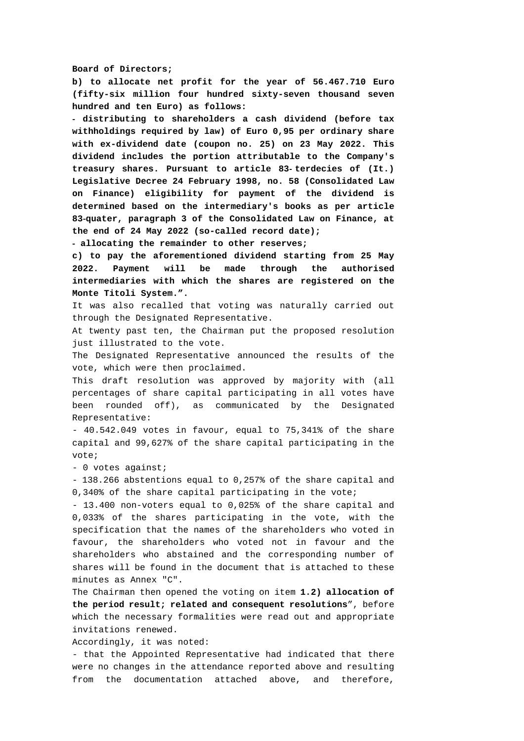#### **Board of Directors;**

**b) to allocate net profit for the year of 56.467.710 Euro (fifty-six million four hundred sixty-seven thousand seven hundred and ten Euro) as follows:** 

- **distributing to shareholders a cash dividend (before tax withholdings required by law) of Euro 0,95 per ordinary share with ex-dividend date (coupon no. 25) on 23 May 2022. This dividend includes the portion attributable to the Company's treasury shares. Pursuant to article 83**- **terdecies of (It.) Legislative Decree 24 February 1998, no. 58 (Consolidated Law on Finance) eligibility for payment of the dividend is determined based on the intermediary's books as per article 83**-**quater, paragraph 3 of the Consolidated Law on Finance, at the end of 24 May 2022 (so-called record date);** 

- **allocating the remainder to other reserves;** 

**c) to pay the aforementioned dividend starting from 25 May 2022. Payment will be made through the authorised intermediaries with which the shares are registered on the Monte Titoli System.".** 

It was also recalled that voting was naturally carried out through the Designated Representative.

At twenty past ten, the Chairman put the proposed resolution just illustrated to the vote.

The Designated Representative announced the results of the vote, which were then proclaimed.

This draft resolution was approved by majority with (all percentages of share capital participating in all votes have been rounded off), as communicated by the Designated Representative:

- 40.542.049 votes in favour, equal to 75,341% of the share capital and 99,627% of the share capital participating in the vote;

- 0 votes against;

- 138.266 abstentions equal to 0,257% of the share capital and 0,340% of the share capital participating in the vote;

- 13.400 non-voters equal to 0,025% of the share capital and 0,033% of the shares participating in the vote, with the specification that the names of the shareholders who voted in favour, the shareholders who voted not in favour and the shareholders who abstained and the corresponding number of shares will be found in the document that is attached to these minutes as Annex "C".

The Chairman then opened the voting on item **1.2) allocation of the period result; related and consequent resolutions**", before which the necessary formalities were read out and appropriate invitations renewed.

Accordingly, it was noted:

- that the Appointed Representative had indicated that there were no changes in the attendance reported above and resulting from the documentation attached above, and therefore,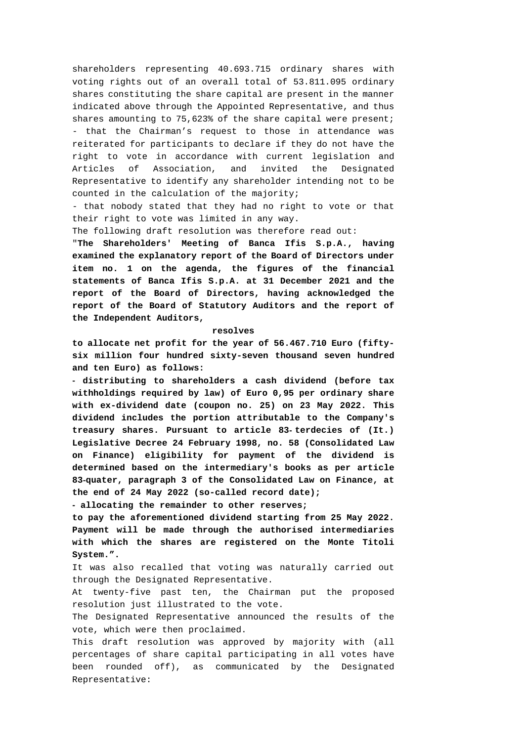shareholders representing 40.693.715 ordinary shares with voting rights out of an overall total of 53.811.095 ordinary shares constituting the share capital are present in the manner indicated above through the Appointed Representative, and thus shares amounting to 75,623% of the share capital were present; - that the Chairman's request to those in attendance was reiterated for participants to declare if they do not have the right to vote in accordance with current legislation and Articles of Association, and invited the Designated Representative to identify any shareholder intending not to be counted in the calculation of the majority;

- that nobody stated that they had no right to vote or that their right to vote was limited in any way.

The following draft resolution was therefore read out:

"**The Shareholders' Meeting of Banca Ifis S.p.A., having examined the explanatory report of the Board of Directors under item no. 1 on the agenda, the figures of the financial statements of Banca Ifis S.p.A. at 31 December 2021 and the report of the Board of Directors, having acknowledged the report of the Board of Statutory Auditors and the report of the Independent Auditors,** 

#### **resolves**

**to allocate net profit for the year of 56.467.710 Euro (fiftysix million four hundred sixty-seven thousand seven hundred and ten Euro) as follows:** 

- **distributing to shareholders a cash dividend (before tax withholdings required by law) of Euro 0,95 per ordinary share with ex-dividend date (coupon no. 25) on 23 May 2022. This dividend includes the portion attributable to the Company's treasury shares. Pursuant to article 83**- **terdecies of (It.) Legislative Decree 24 February 1998, no. 58 (Consolidated Law on Finance) eligibility for payment of the dividend is determined based on the intermediary's books as per article 83**-**quater, paragraph 3 of the Consolidated Law on Finance, at the end of 24 May 2022 (so-called record date);** 

- **allocating the remainder to other reserves;** 

**to pay the aforementioned dividend starting from 25 May 2022. Payment will be made through the authorised intermediaries with which the shares are registered on the Monte Titoli System.".** 

It was also recalled that voting was naturally carried out through the Designated Representative.

At twenty-five past ten, the Chairman put the proposed resolution just illustrated to the vote.

The Designated Representative announced the results of the vote, which were then proclaimed.

This draft resolution was approved by majority with (all percentages of share capital participating in all votes have been rounded off), as communicated by the Designated Representative: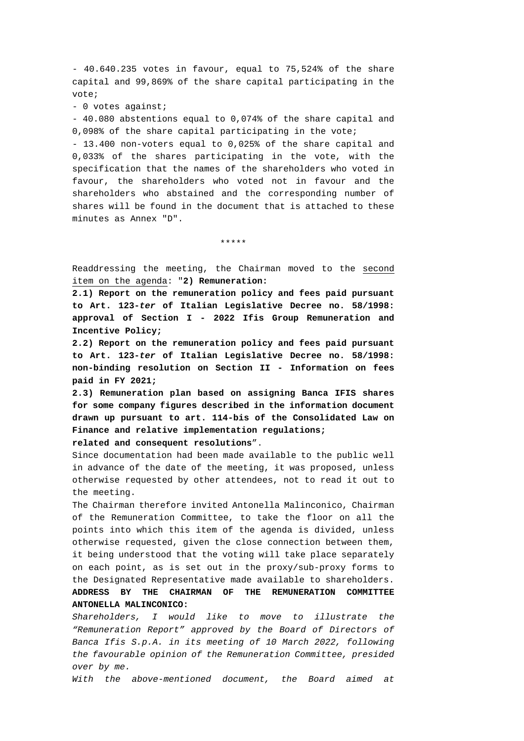- 40.640.235 votes in favour, equal to 75,524% of the share capital and 99,869% of the share capital participating in the vote;

- 0 votes against;

- 40.080 abstentions equal to 0,074% of the share capital and 0,098% of the share capital participating in the vote;

- 13.400 non-voters equal to 0,025% of the share capital and 0,033% of the shares participating in the vote, with the specification that the names of the shareholders who voted in favour, the shareholders who voted not in favour and the shareholders who abstained and the corresponding number of shares will be found in the document that is attached to these minutes as Annex "D".

\*\*\*\*\*

Readdressing the meeting, the Chairman moved to the second item on the agenda: "**2) Remuneration:** 

**2.1) Report on the remuneration policy and fees paid pursuant to Art. 123-***ter* **of Italian Legislative Decree no. 58/1998: approval of Section I - 2022 Ifis Group Remuneration and Incentive Policy;** 

**2.2) Report on the remuneration policy and fees paid pursuant to Art. 123-***ter* **of Italian Legislative Decree no. 58/1998: non-binding resolution on Section II - Information on fees paid in FY 2021;** 

**2.3) Remuneration plan based on assigning Banca IFIS shares for some company figures described in the information document drawn up pursuant to art. 114-bis of the Consolidated Law on Finance and relative implementation regulations; related and consequent resolutions**".

Since documentation had been made available to the public well in advance of the date of the meeting, it was proposed, unless otherwise requested by other attendees, not to read it out to the meeting.

The Chairman therefore invited Antonella Malinconico, Chairman of the Remuneration Committee, to take the floor on all the points into which this item of the agenda is divided, unless otherwise requested, given the close connection between them, it being understood that the voting will take place separately on each point, as is set out in the proxy/sub-proxy forms to the Designated Representative made available to shareholders. **ADDRESS BY THE CHAIRMAN OF THE REMUNERATION COMMITTEE ANTONELLA MALINCONICO:**

*Shareholders, I would like to move to illustrate the "Remuneration Report" approved by the Board of Directors of Banca Ifis S.p.A. in its meeting of 10 March 2022, following the favourable opinion of the Remuneration Committee, presided over by me.* 

*With the above-mentioned document, the Board aimed at*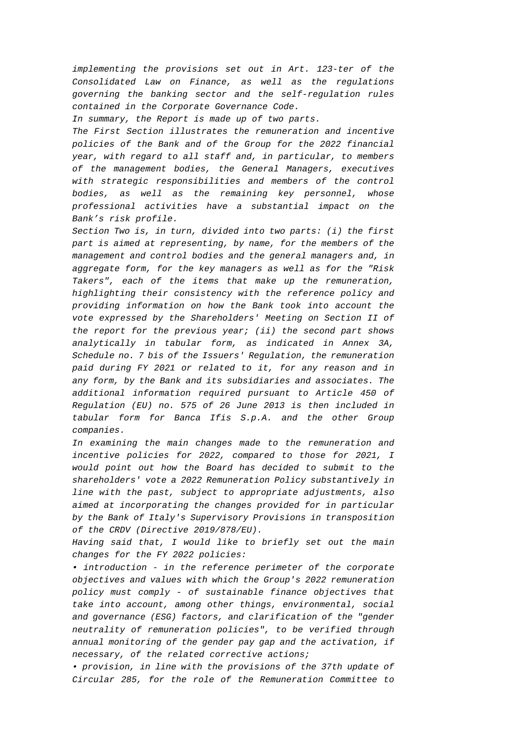*implementing the provisions set out in Art. 123-ter of the Consolidated Law on Finance, as well as the regulations governing the banking sector and the self-regulation rules contained in the Corporate Governance Code.* 

*In summary, the Report is made up of two parts.* 

*The First Section illustrates the remuneration and incentive policies of the Bank and of the Group for the 2022 financial year, with regard to all staff and, in particular, to members of the management bodies, the General Managers, executives with strategic responsibilities and members of the control bodies, as well as the remaining key personnel, whose professional activities have a substantial impact on the Bank's risk profile.* 

*Section Two is, in turn, divided into two parts: (i) the first part is aimed at representing, by name, for the members of the management and control bodies and the general managers and, in aggregate form, for the key managers as well as for the "Risk Takers", each of the items that make up the remuneration, highlighting their consistency with the reference policy and providing information on how the Bank took into account the vote expressed by the Shareholders' Meeting on Section II of the report for the previous year; (ii) the second part shows analytically in tabular form, as indicated in Annex 3A, Schedule no. 7 bis of the Issuers' Regulation, the remuneration paid during FY 2021 or related to it, for any reason and in any form, by the Bank and its subsidiaries and associates. The additional information required pursuant to Article 450 of Regulation (EU) no. 575 of 26 June 2013 is then included in tabular form for Banca Ifis S.p.A. and the other Group companies.* 

*In examining the main changes made to the remuneration and incentive policies for 2022, compared to those for 2021, I would point out how the Board has decided to submit to the shareholders' vote a 2022 Remuneration Policy substantively in line with the past, subject to appropriate adjustments, also aimed at incorporating the changes provided for in particular by the Bank of Italy's Supervisory Provisions in transposition of the CRDV (Directive 2019/878/EU).* 

*Having said that, I would like to briefly set out the main changes for the FY 2022 policies:* 

*• introduction - in the reference perimeter of the corporate objectives and values with which the Group's 2022 remuneration policy must comply - of sustainable finance objectives that take into account, among other things, environmental, social and governance (ESG) factors, and clarification of the "gender neutrality of remuneration policies", to be verified through annual monitoring of the gender pay gap and the activation, if necessary, of the related corrective actions;* 

*• provision, in line with the provisions of the 37th update of Circular 285, for the role of the Remuneration Committee to*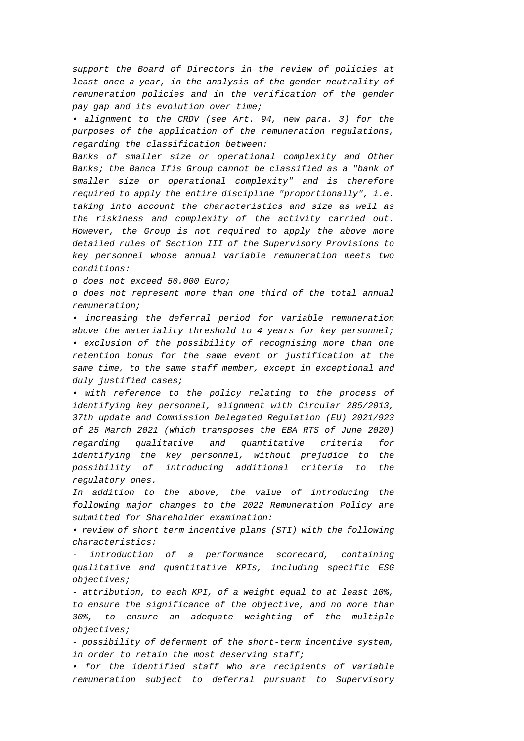*support the Board of Directors in the review of policies at least once a year, in the analysis of the gender neutrality of remuneration policies and in the verification of the gender pay gap and its evolution over time;* 

*• alignment to the CRDV (see Art. 94, new para. 3) for the purposes of the application of the remuneration regulations, regarding the classification between:* 

*Banks of smaller size or operational complexity and Other Banks; the Banca Ifis Group cannot be classified as a "bank of smaller size or operational complexity" and is therefore required to apply the entire discipline "proportionally", i.e. taking into account the characteristics and size as well as the riskiness and complexity of the activity carried out. However, the Group is not required to apply the above more detailed rules of Section III of the Supervisory Provisions to key personnel whose annual variable remuneration meets two conditions:* 

*o does not exceed 50.000 Euro;* 

*o does not represent more than one third of the total annual remuneration;* 

*• increasing the deferral period for variable remuneration above the materiality threshold to 4 years for key personnel; • exclusion of the possibility of recognising more than one retention bonus for the same event or justification at the same time, to the same staff member, except in exceptional and duly justified cases;* 

*• with reference to the policy relating to the process of identifying key personnel, alignment with Circular 285/2013, 37th update and Commission Delegated Regulation (EU) 2021/923 of 25 March 2021 (which transposes the EBA RTS of June 2020) regarding qualitative and quantitative criteria for identifying the key personnel, without prejudice to the possibility of introducing additional criteria to the regulatory ones.* 

*In addition to the above, the value of introducing the following major changes to the 2022 Remuneration Policy are submitted for Shareholder examination:* 

*• review of short term incentive plans (STI) with the following characteristics:* 

*- introduction of a performance scorecard, containing qualitative and quantitative KPIs, including specific ESG objectives;* 

*- attribution, to each KPI, of a weight equal to at least 10%, to ensure the significance of the objective, and no more than 30%, to ensure an adequate weighting of the multiple objectives;* 

*- possibility of deferment of the short-term incentive system, in order to retain the most deserving staff;* 

*• for the identified staff who are recipients of variable remuneration subject to deferral pursuant to Supervisory*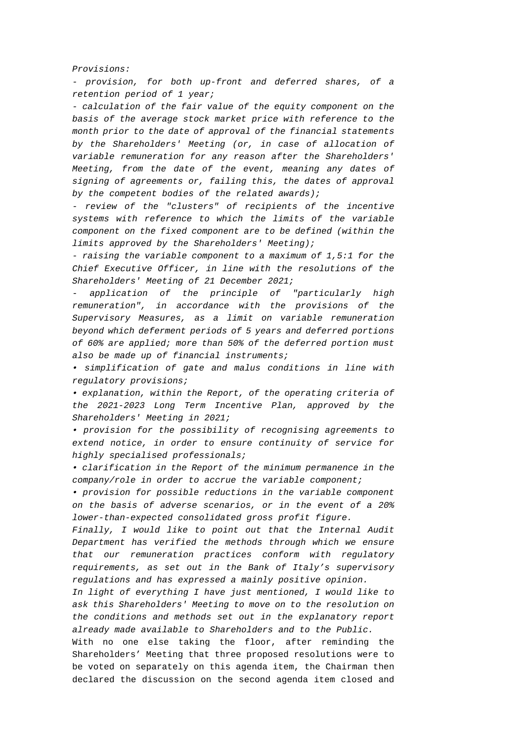*Provisions:* 

*- provision, for both up-front and deferred shares, of a retention period of 1 year;* 

*- calculation of the fair value of the equity component on the basis of the average stock market price with reference to the month prior to the date of approval of the financial statements by the Shareholders' Meeting (or, in case of allocation of variable remuneration for any reason after the Shareholders' Meeting, from the date of the event, meaning any dates of signing of agreements or, failing this, the dates of approval by the competent bodies of the related awards);* 

*- review of the "clusters" of recipients of the incentive systems with reference to which the limits of the variable component on the fixed component are to be defined (within the limits approved by the Shareholders' Meeting);* 

*- raising the variable component to a maximum of 1,5:1 for the Chief Executive Officer, in line with the resolutions of the Shareholders' Meeting of 21 December 2021;* 

*- application of the principle of "particularly high remuneration", in accordance with the provisions of the Supervisory Measures, as a limit on variable remuneration beyond which deferment periods of 5 years and deferred portions of 60% are applied; more than 50% of the deferred portion must also be made up of financial instruments;* 

*• simplification of gate and malus conditions in line with regulatory provisions;* 

*• explanation, within the Report, of the operating criteria of the 2021-2023 Long Term Incentive Plan, approved by the Shareholders' Meeting in 2021;* 

*• provision for the possibility of recognising agreements to extend notice, in order to ensure continuity of service for highly specialised professionals;* 

*• clarification in the Report of the minimum permanence in the company/role in order to accrue the variable component;* 

*• provision for possible reductions in the variable component on the basis of adverse scenarios, or in the event of a 20% lower-than-expected consolidated gross profit figure.* 

*Finally, I would like to point out that the Internal Audit Department has verified the methods through which we ensure that our remuneration practices conform with regulatory requirements, as set out in the Bank of Italy's supervisory regulations and has expressed a mainly positive opinion.* 

*In light of everything I have just mentioned, I would like to ask this Shareholders' Meeting to move on to the resolution on the conditions and methods set out in the explanatory report already made available to Shareholders and to the Public.* 

With no one else taking the floor, after reminding the Shareholders' Meeting that three proposed resolutions were to be voted on separately on this agenda item, the Chairman then declared the discussion on the second agenda item closed and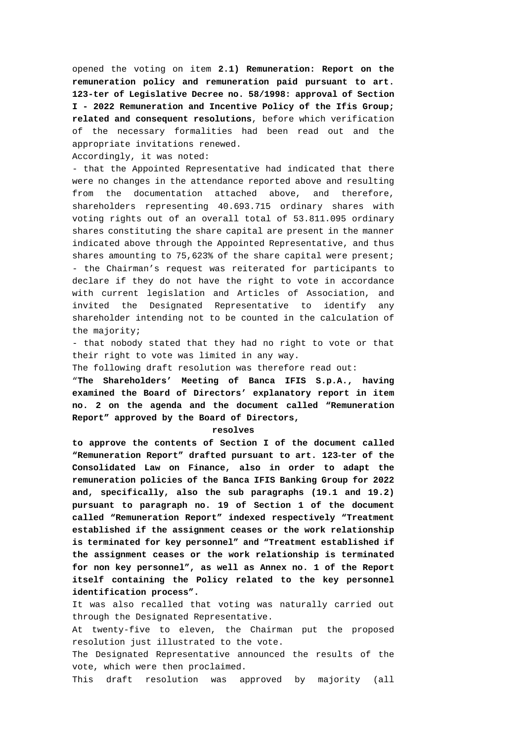opened the voting on item **2.1) Remuneration: Report on the remuneration policy and remuneration paid pursuant to art. 123-ter of Legislative Decree no. 58/1998: approval of Section I - 2022 Remuneration and Incentive Policy of the Ifis Group; related and consequent resolutions**, before which verification of the necessary formalities had been read out and the appropriate invitations renewed.

Accordingly, it was noted:

- that the Appointed Representative had indicated that there were no changes in the attendance reported above and resulting from the documentation attached above, and therefore, shareholders representing 40.693.715 ordinary shares with voting rights out of an overall total of 53.811.095 ordinary shares constituting the share capital are present in the manner indicated above through the Appointed Representative, and thus shares amounting to 75,623% of the share capital were present; - the Chairman's request was reiterated for participants to declare if they do not have the right to vote in accordance with current legislation and Articles of Association, and invited the Designated Representative to identify any shareholder intending not to be counted in the calculation of the majority;

- that nobody stated that they had no right to vote or that their right to vote was limited in any way.

The following draft resolution was therefore read out:

"**The Shareholders' Meeting of Banca IFIS S.p.A., having examined the Board of Directors' explanatory report in item no. 2 on the agenda and the document called "Remuneration Report" approved by the Board of Directors,** 

#### **resolves**

**to approve the contents of Section I of the document called "Remuneration Report" drafted pursuant to art. 123**-**ter of the Consolidated Law on Finance, also in order to adapt the remuneration policies of the Banca IFIS Banking Group for 2022 and, specifically, also the sub paragraphs (19.1 and 19.2) pursuant to paragraph no. 19 of Section 1 of the document called "Remuneration Report" indexed respectively "Treatment established if the assignment ceases or the work relationship is terminated for key personnel" and "Treatment established if the assignment ceases or the work relationship is terminated for non key personnel", as well as Annex no. 1 of the Report itself containing the Policy related to the key personnel identification process".** 

It was also recalled that voting was naturally carried out through the Designated Representative.

At twenty-five to eleven, the Chairman put the proposed resolution just illustrated to the vote.

The Designated Representative announced the results of the vote, which were then proclaimed.

This draft resolution was approved by majority (all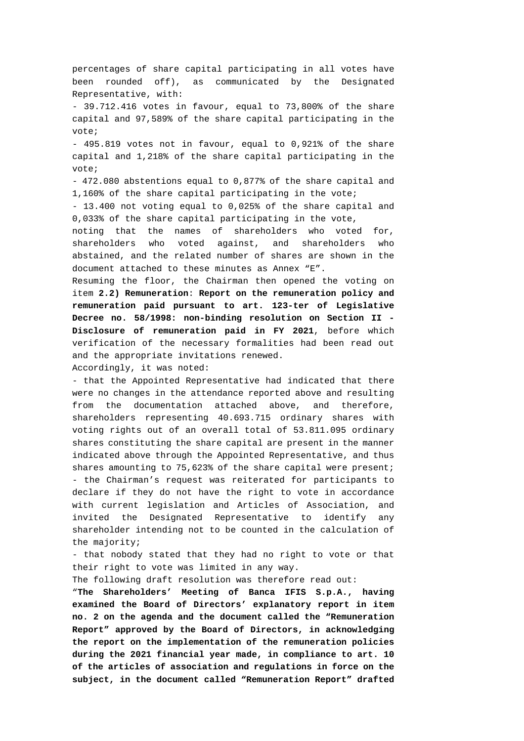percentages of share capital participating in all votes have been rounded off), as communicated by the Designated Representative, with: - 39.712.416 votes in favour, equal to 73,800% of the share capital and 97,589% of the share capital participating in the vote; - 495.819 votes not in favour, equal to 0,921% of the share capital and 1,218% of the share capital participating in the vote; - 472.080 abstentions equal to 0,877% of the share capital and 1,160% of the share capital participating in the vote; - 13.400 not voting equal to 0,025% of the share capital and 0,033% of the share capital participating in the vote, noting that the names of shareholders who voted for, shareholders who voted against, and shareholders who abstained, and the related number of shares are shown in the document attached to these minutes as Annex "E". Resuming the floor, the Chairman then opened the voting on item **2.2) Remuneration**: **Report on the remuneration policy and remuneration paid pursuant to art. 123-ter of Legislative Decree no. 58/1998: non-binding resolution on Section II - Disclosure of remuneration paid in FY 2021**, before which verification of the necessary formalities had been read out and the appropriate invitations renewed.

Accordingly, it was noted:

- that the Appointed Representative had indicated that there were no changes in the attendance reported above and resulting from the documentation attached above, and therefore, shareholders representing 40.693.715 ordinary shares with voting rights out of an overall total of 53.811.095 ordinary shares constituting the share capital are present in the manner indicated above through the Appointed Representative, and thus shares amounting to 75,623% of the share capital were present; - the Chairman's request was reiterated for participants to declare if they do not have the right to vote in accordance with current legislation and Articles of Association, and invited the Designated Representative to identify any shareholder intending not to be counted in the calculation of the majority;

- that nobody stated that they had no right to vote or that their right to vote was limited in any way.

The following draft resolution was therefore read out:

"**The Shareholders' Meeting of Banca IFIS S.p.A., having examined the Board of Directors' explanatory report in item no. 2 on the agenda and the document called the "Remuneration Report" approved by the Board of Directors, in acknowledging the report on the implementation of the remuneration policies during the 2021 financial year made, in compliance to art. 10 of the articles of association and regulations in force on the subject, in the document called "Remuneration Report" drafted**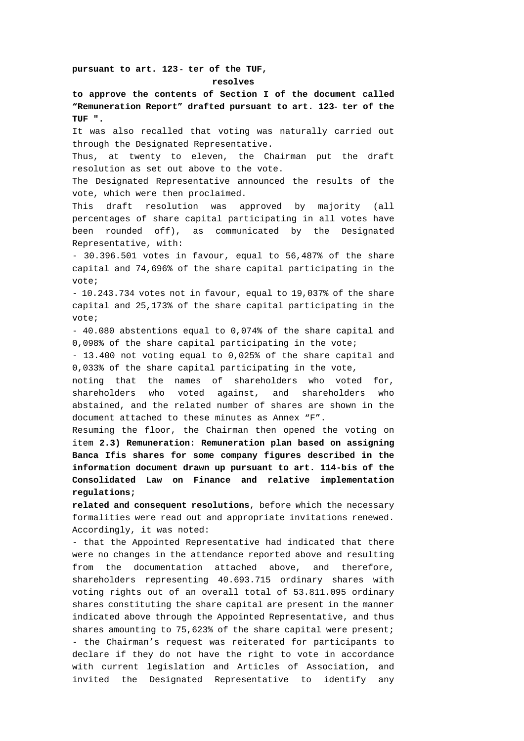# **pursuant to art. 123** - **ter of the TUF, resolves**

**to approve the contents of Section I of the document called "Remuneration Report" drafted pursuant to art. 123**- **ter of the TUF ".** 

It was also recalled that voting was naturally carried out through the Designated Representative.

Thus, at twenty to eleven, the Chairman put the draft resolution as set out above to the vote.

The Designated Representative announced the results of the vote, which were then proclaimed.

This draft resolution was approved by majority (all percentages of share capital participating in all votes have been rounded off), as communicated by the Designated Representative, with:

- 30.396.501 votes in favour, equal to 56,487% of the share capital and 74,696% of the share capital participating in the vote;

- 10.243.734 votes not in favour, equal to 19,037% of the share capital and 25,173% of the share capital participating in the vote;

- 40.080 abstentions equal to 0,074% of the share capital and 0,098% of the share capital participating in the vote;

- 13.400 not voting equal to 0,025% of the share capital and 0,033% of the share capital participating in the vote,

noting that the names of shareholders who voted for, shareholders who voted against, and shareholders who abstained, and the related number of shares are shown in the document attached to these minutes as Annex "F".

Resuming the floor, the Chairman then opened the voting on item **2.3) Remuneration: Remuneration plan based on assigning Banca Ifis shares for some company figures described in the information document drawn up pursuant to art. 114-bis of the Consolidated Law on Finance and relative implementation regulations;** 

**related and consequent resolutions**, before which the necessary formalities were read out and appropriate invitations renewed. Accordingly, it was noted:

- that the Appointed Representative had indicated that there were no changes in the attendance reported above and resulting from the documentation attached above, and therefore, shareholders representing 40.693.715 ordinary shares with voting rights out of an overall total of 53.811.095 ordinary shares constituting the share capital are present in the manner indicated above through the Appointed Representative, and thus shares amounting to 75,623% of the share capital were present; - the Chairman's request was reiterated for participants to declare if they do not have the right to vote in accordance with current legislation and Articles of Association, and invited the Designated Representative to identify any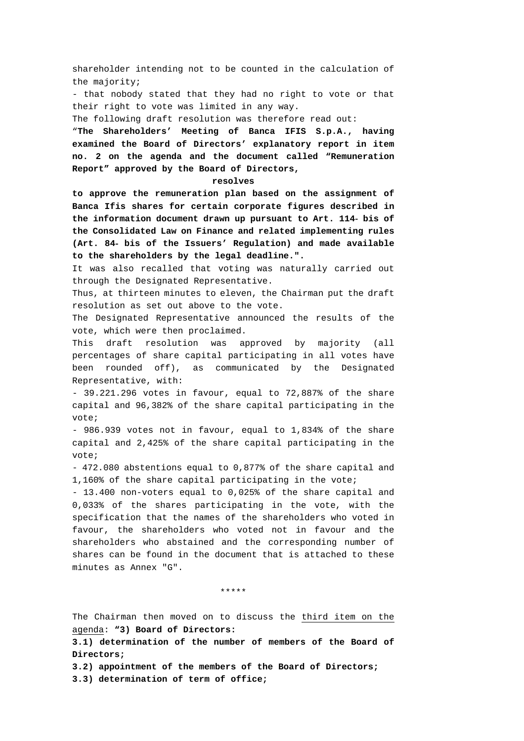shareholder intending not to be counted in the calculation of the majority;

- that nobody stated that they had no right to vote or that their right to vote was limited in any way.

The following draft resolution was therefore read out:

"**The Shareholders' Meeting of Banca IFIS S.p.A., having examined the Board of Directors' explanatory report in item no. 2 on the agenda and the document called "Remuneration Report" approved by the Board of Directors,** 

### **resolves**

**to approve the remuneration plan based on the assignment of Banca Ifis shares for certain corporate figures described in the information document drawn up pursuant to Art. 114**- **bis of the Consolidated Law on Finance and related implementing rules (Art. 84**- **bis of the Issuers' Regulation) and made available to the shareholders by the legal deadline.".** 

It was also recalled that voting was naturally carried out through the Designated Representative.

Thus, at thirteen minutes to eleven, the Chairman put the draft resolution as set out above to the vote.

The Designated Representative announced the results of the vote, which were then proclaimed.

This draft resolution was approved by majority (all percentages of share capital participating in all votes have been rounded off), as communicated by the Designated Representative, with:

- 39.221.296 votes in favour, equal to 72,887% of the share capital and 96,382% of the share capital participating in the vote;

- 986.939 votes not in favour, equal to 1,834% of the share capital and 2,425% of the share capital participating in the vote;

- 472.080 abstentions equal to 0,877% of the share capital and 1,160% of the share capital participating in the vote;

- 13.400 non-voters equal to 0,025% of the share capital and 0,033% of the shares participating in the vote, with the specification that the names of the shareholders who voted in favour, the shareholders who voted not in favour and the shareholders who abstained and the corresponding number of shares can be found in the document that is attached to these minutes as Annex "G".

\*\*\*\*\*

The Chairman then moved on to discuss the third item on the agenda: **"3) Board of Directors:** 

**3.1) determination of the number of members of the Board of Directors;** 

**3.2) appointment of the members of the Board of Directors;** 

**3.3) determination of term of office;**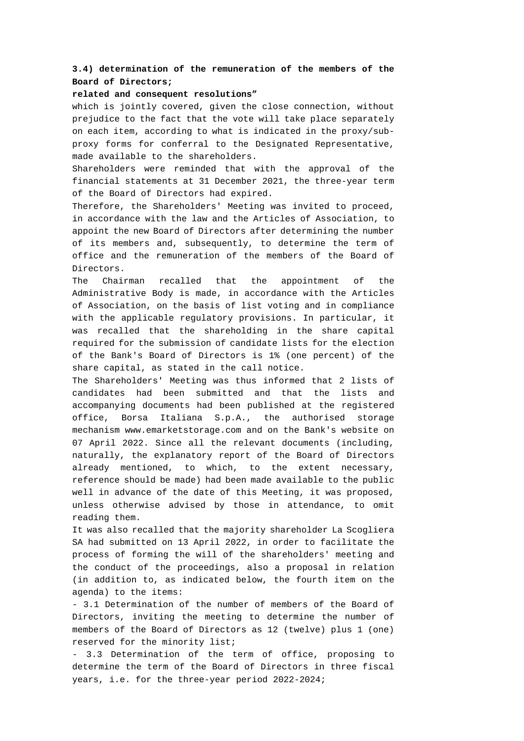# **3.4) determination of the remuneration of the members of the Board of Directors;**

## **related and consequent resolutions"**

which is jointly covered, given the close connection, without prejudice to the fact that the vote will take place separately on each item, according to what is indicated in the proxy/subproxy forms for conferral to the Designated Representative, made available to the shareholders.

Shareholders were reminded that with the approval of the financial statements at 31 December 2021, the three-year term of the Board of Directors had expired.

Therefore, the Shareholders' Meeting was invited to proceed, in accordance with the law and the Articles of Association, to appoint the new Board of Directors after determining the number of its members and, subsequently, to determine the term of office and the remuneration of the members of the Board of Directors.

The Chairman recalled that the appointment of the Administrative Body is made, in accordance with the Articles of Association, on the basis of list voting and in compliance with the applicable regulatory provisions. In particular, it was recalled that the shareholding in the share capital required for the submission of candidate lists for the election of the Bank's Board of Directors is 1% (one percent) of the share capital, as stated in the call notice.

The Shareholders' Meeting was thus informed that 2 lists of candidates had been submitted and that the lists and accompanying documents had been published at the registered office, Borsa Italiana S.p.A., the authorised storage mechanism www.emarketstorage.com and on the Bank's website on 07 April 2022. Since all the relevant documents (including, naturally, the explanatory report of the Board of Directors already mentioned, to which, to the extent necessary, reference should be made) had been made available to the public well in advance of the date of this Meeting, it was proposed, unless otherwise advised by those in attendance, to omit reading them.

It was also recalled that the majority shareholder La Scogliera SA had submitted on 13 April 2022, in order to facilitate the process of forming the will of the shareholders' meeting and the conduct of the proceedings, also a proposal in relation (in addition to, as indicated below, the fourth item on the agenda) to the items:

- 3.1 Determination of the number of members of the Board of Directors, inviting the meeting to determine the number of members of the Board of Directors as 12 (twelve) plus 1 (one) reserved for the minority list;

- 3.3 Determination of the term of office, proposing to determine the term of the Board of Directors in three fiscal years, i.e. for the three-year period 2022-2024;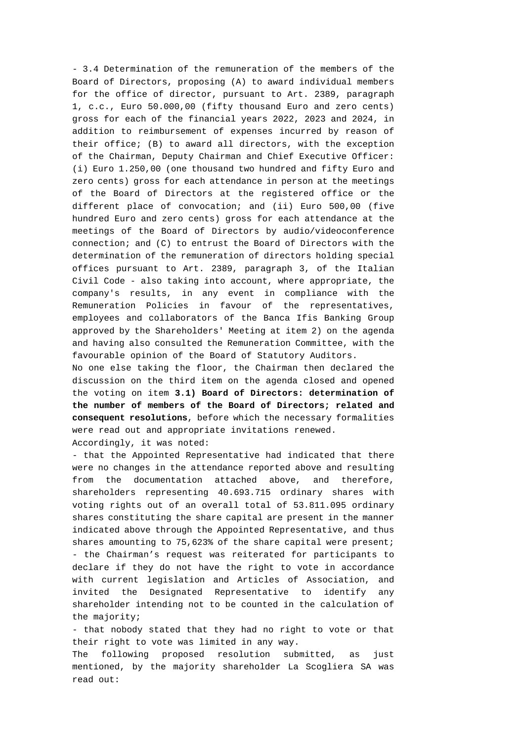- 3.4 Determination of the remuneration of the members of the Board of Directors, proposing (A) to award individual members for the office of director, pursuant to Art. 2389, paragraph 1, c.c., Euro 50.000,00 (fifty thousand Euro and zero cents) gross for each of the financial years 2022, 2023 and 2024, in addition to reimbursement of expenses incurred by reason of their office; (B) to award all directors, with the exception of the Chairman, Deputy Chairman and Chief Executive Officer: (i) Euro 1.250,00 (one thousand two hundred and fifty Euro and zero cents) gross for each attendance in person at the meetings of the Board of Directors at the registered office or the different place of convocation; and (ii) Euro 500,00 (five hundred Euro and zero cents) gross for each attendance at the meetings of the Board of Directors by audio/videoconference connection; and (C) to entrust the Board of Directors with the determination of the remuneration of directors holding special offices pursuant to Art. 2389, paragraph 3, of the Italian Civil Code - also taking into account, where appropriate, the company's results, in any event in compliance with the Remuneration Policies in favour of the representatives, employees and collaborators of the Banca Ifis Banking Group approved by the Shareholders' Meeting at item 2) on the agenda and having also consulted the Remuneration Committee, with the favourable opinion of the Board of Statutory Auditors.

No one else taking the floor, the Chairman then declared the discussion on the third item on the agenda closed and opened the voting on item **3.1) Board of Directors: determination of the number of members of the Board of Directors; related and consequent resolutions**, before which the necessary formalities were read out and appropriate invitations renewed. Accordingly, it was noted:

- that the Appointed Representative had indicated that there were no changes in the attendance reported above and resulting from the documentation attached above, and therefore, shareholders representing 40.693.715 ordinary shares with voting rights out of an overall total of 53.811.095 ordinary shares constituting the share capital are present in the manner indicated above through the Appointed Representative, and thus shares amounting to 75,623% of the share capital were present; - the Chairman's request was reiterated for participants to declare if they do not have the right to vote in accordance with current legislation and Articles of Association, and invited the Designated Representative to identify any shareholder intending not to be counted in the calculation of the majority;

- that nobody stated that they had no right to vote or that their right to vote was limited in any way.

The following proposed resolution submitted, as just mentioned, by the majority shareholder La Scogliera SA was read out: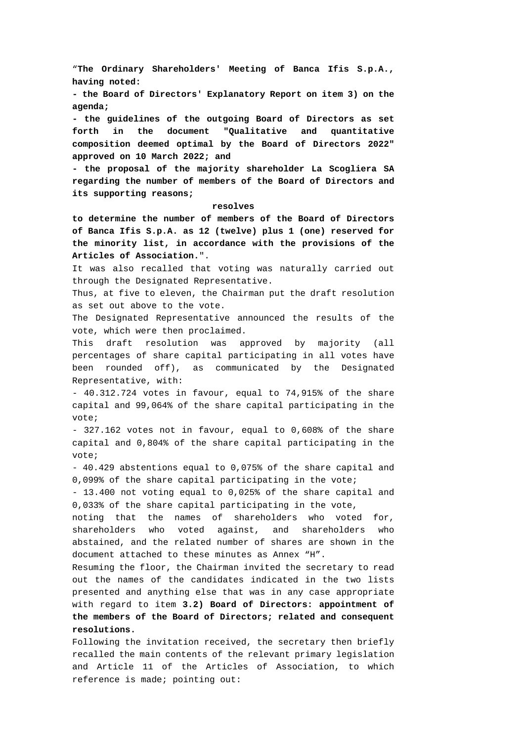"**The Ordinary Shareholders' Meeting of Banca Ifis S.p.A., having noted:** 

**- the Board of Directors' Explanatory Report on item 3) on the agenda;** 

**- the guidelines of the outgoing Board of Directors as set forth in the document "Qualitative and quantitative composition deemed optimal by the Board of Directors 2022" approved on 10 March 2022; and** 

**- the proposal of the majority shareholder La Scogliera SA regarding the number of members of the Board of Directors and its supporting reasons;** 

### **resolves**

**to determine the number of members of the Board of Directors of Banca Ifis S.p.A. as 12 (twelve) plus 1 (one) reserved for the minority list, in accordance with the provisions of the Articles of Association.**".

It was also recalled that voting was naturally carried out through the Designated Representative.

Thus, at five to eleven, the Chairman put the draft resolution as set out above to the vote.

The Designated Representative announced the results of the vote, which were then proclaimed.

This draft resolution was approved by majority (all percentages of share capital participating in all votes have been rounded off), as communicated by the Designated Representative, with:

- 40.312.724 votes in favour, equal to 74,915% of the share capital and 99,064% of the share capital participating in the vote;

- 327.162 votes not in favour, equal to 0,608% of the share capital and 0,804% of the share capital participating in the vote;

- 40.429 abstentions equal to 0,075% of the share capital and 0,099% of the share capital participating in the vote;

- 13.400 not voting equal to 0,025% of the share capital and 0,033% of the share capital participating in the vote,

noting that the names of shareholders who voted for, shareholders who voted against, and shareholders who abstained, and the related number of shares are shown in the document attached to these minutes as Annex "H".

Resuming the floor, the Chairman invited the secretary to read out the names of the candidates indicated in the two lists presented and anything else that was in any case appropriate with regard to item **3.2) Board of Directors: appointment of the members of the Board of Directors; related and consequent resolutions.**

Following the invitation received, the secretary then briefly recalled the main contents of the relevant primary legislation and Article 11 of the Articles of Association, to which reference is made; pointing out: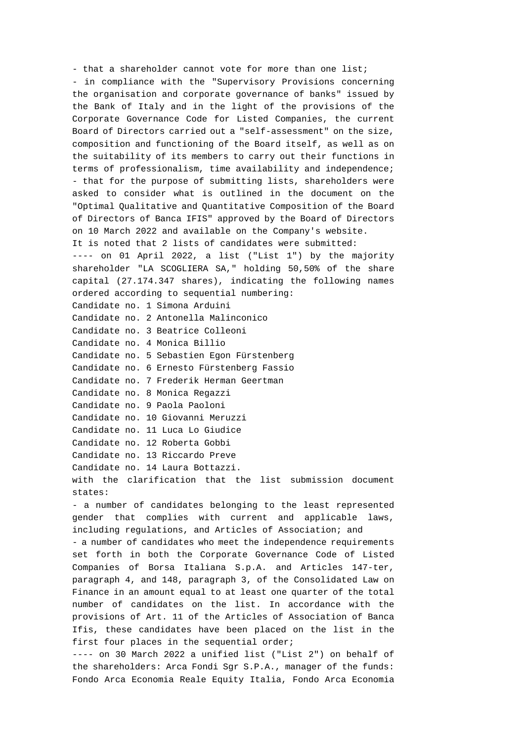- that a shareholder cannot vote for more than one list; - in compliance with the "Supervisory Provisions concerning the organisation and corporate governance of banks" issued by the Bank of Italy and in the light of the provisions of the Corporate Governance Code for Listed Companies, the current Board of Directors carried out a "self-assessment" on the size, composition and functioning of the Board itself, as well as on the suitability of its members to carry out their functions in terms of professionalism, time availability and independence; - that for the purpose of submitting lists, shareholders were asked to consider what is outlined in the document on the "Optimal Qualitative and Quantitative Composition of the Board of Directors of Banca IFIS" approved by the Board of Directors on 10 March 2022 and available on the Company's website. It is noted that 2 lists of candidates were submitted: ---- on 01 April 2022, a list ("List 1") by the majority shareholder "LA SCOGLIERA SA," holding 50,50% of the share capital (27.174.347 shares), indicating the following names ordered according to sequential numbering: Candidate no. 1 Simona Arduini Candidate no. 2 Antonella Malinconico Candidate no. 3 Beatrice Colleoni Candidate no. 4 Monica Billio Candidate no. 5 Sebastien Egon Fürstenberg Candidate no. 6 Ernesto Fürstenberg Fassio Candidate no. 7 Frederik Herman Geertman Candidate no. 8 Monica Regazzi Candidate no. 9 Paola Paoloni Candidate no. 10 Giovanni Meruzzi Candidate no. 11 Luca Lo Giudice Candidate no. 12 Roberta Gobbi Candidate no. 13 Riccardo Preve Candidate no. 14 Laura Bottazzi. with the clarification that the list submission document states: - a number of candidates belonging to the least represented gender that complies with current and applicable laws, including regulations, and Articles of Association; and - a number of candidates who meet the independence requirements set forth in both the Corporate Governance Code of Listed Companies of Borsa Italiana S.p.A. and Articles 147-ter, paragraph 4, and 148, paragraph 3, of the Consolidated Law on Finance in an amount equal to at least one quarter of the total number of candidates on the list. In accordance with the provisions of Art. 11 of the Articles of Association of Banca Ifis, these candidates have been placed on the list in the first four places in the sequential order;

---- on 30 March 2022 a unified list ("List 2") on behalf of the shareholders: Arca Fondi Sgr S.P.A., manager of the funds: Fondo Arca Economia Reale Equity Italia, Fondo Arca Economia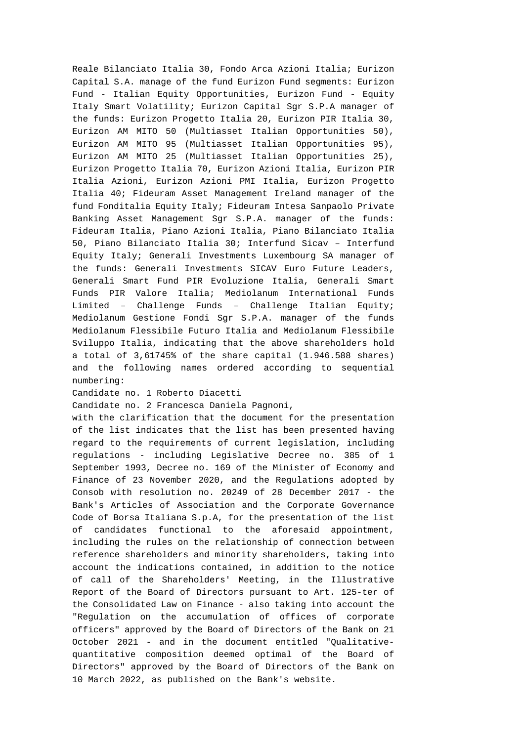Reale Bilanciato Italia 30, Fondo Arca Azioni Italia; Eurizon Capital S.A. manage of the fund Eurizon Fund segments: Eurizon Fund - Italian Equity Opportunities, Eurizon Fund - Equity Italy Smart Volatility; Eurizon Capital Sgr S.P.A manager of the funds: Eurizon Progetto Italia 20, Eurizon PIR Italia 30, Eurizon AM MITO 50 (Multiasset Italian Opportunities 50), Eurizon AM MITO 95 (Multiasset Italian Opportunities 95), Eurizon AM MITO 25 (Multiasset Italian Opportunities 25), Eurizon Progetto Italia 70, Eurizon Azioni Italia, Eurizon PIR Italia Azioni, Eurizon Azioni PMI Italia, Eurizon Progetto Italia 40; Fideuram Asset Management Ireland manager of the fund Fonditalia Equity Italy; Fideuram Intesa Sanpaolo Private Banking Asset Management Sgr S.P.A. manager of the funds: Fideuram Italia, Piano Azioni Italia, Piano Bilanciato Italia 50, Piano Bilanciato Italia 30; Interfund Sicav – Interfund Equity Italy; Generali Investments Luxembourg SA manager of the funds: Generali Investments SICAV Euro Future Leaders, Generali Smart Fund PIR Evoluzione Italia, Generali Smart Funds PIR Valore Italia; Mediolanum International Funds Limited – Challenge Funds – Challenge Italian Equity; Mediolanum Gestione Fondi Sgr S.P.A. manager of the funds Mediolanum Flessibile Futuro Italia and Mediolanum Flessibile Sviluppo Italia, indicating that the above shareholders hold a total of 3,61745% of the share capital (1.946.588 shares) and the following names ordered according to sequential numbering:

## Candidate no. 1 Roberto Diacetti

Candidate no. 2 Francesca Daniela Pagnoni,

with the clarification that the document for the presentation of the list indicates that the list has been presented having regard to the requirements of current legislation, including regulations - including Legislative Decree no. 385 of 1 September 1993, Decree no. 169 of the Minister of Economy and Finance of 23 November 2020, and the Regulations adopted by Consob with resolution no. 20249 of 28 December 2017 - the Bank's Articles of Association and the Corporate Governance Code of Borsa Italiana S.p.A, for the presentation of the list of candidates functional to the aforesaid appointment, including the rules on the relationship of connection between reference shareholders and minority shareholders, taking into account the indications contained, in addition to the notice of call of the Shareholders' Meeting, in the Illustrative Report of the Board of Directors pursuant to Art. 125-ter of the Consolidated Law on Finance - also taking into account the "Regulation on the accumulation of offices of corporate officers" approved by the Board of Directors of the Bank on 21 October 2021 - and in the document entitled "Qualitativequantitative composition deemed optimal of the Board of Directors" approved by the Board of Directors of the Bank on 10 March 2022, as published on the Bank's website.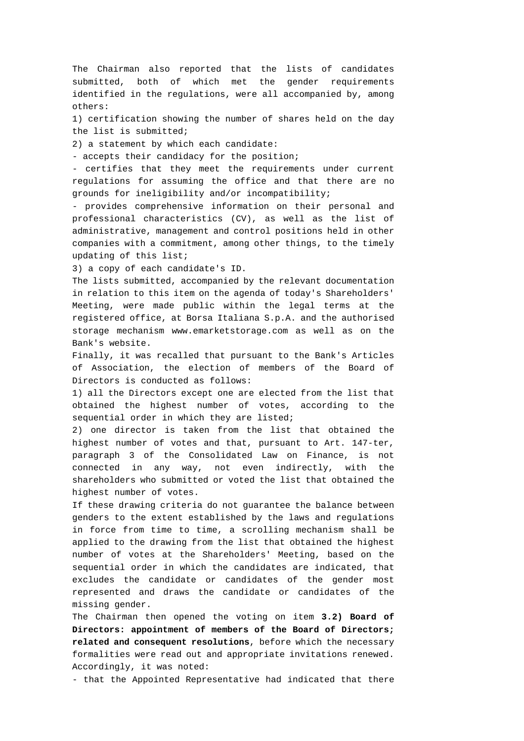The Chairman also reported that the lists of candidates submitted, both of which met the gender requirements identified in the regulations, were all accompanied by, among others:

1) certification showing the number of shares held on the day the list is submitted;

2) a statement by which each candidate:

- accepts their candidacy for the position;

- certifies that they meet the requirements under current regulations for assuming the office and that there are no grounds for ineligibility and/or incompatibility;

- provides comprehensive information on their personal and professional characteristics (CV), as well as the list of administrative, management and control positions held in other companies with a commitment, among other things, to the timely updating of this list;

3) a copy of each candidate's ID.

The lists submitted, accompanied by the relevant documentation in relation to this item on the agenda of today's Shareholders' Meeting, were made public within the legal terms at the registered office, at Borsa Italiana S.p.A. and the authorised storage mechanism www.emarketstorage.com as well as on the Bank's website.

Finally, it was recalled that pursuant to the Bank's Articles of Association, the election of members of the Board of Directors is conducted as follows:

1) all the Directors except one are elected from the list that obtained the highest number of votes, according to the sequential order in which they are listed;

2) one director is taken from the list that obtained the highest number of votes and that, pursuant to Art. 147-ter, paragraph 3 of the Consolidated Law on Finance, is not connected in any way, not even indirectly, with the shareholders who submitted or voted the list that obtained the highest number of votes.

If these drawing criteria do not guarantee the balance between genders to the extent established by the laws and regulations in force from time to time, a scrolling mechanism shall be applied to the drawing from the list that obtained the highest number of votes at the Shareholders' Meeting, based on the sequential order in which the candidates are indicated, that excludes the candidate or candidates of the gender most represented and draws the candidate or candidates of the missing gender.

The Chairman then opened the voting on item **3.2) Board of Directors: appointment of members of the Board of Directors; related and consequent resolutions**, before which the necessary formalities were read out and appropriate invitations renewed. Accordingly, it was noted:

- that the Appointed Representative had indicated that there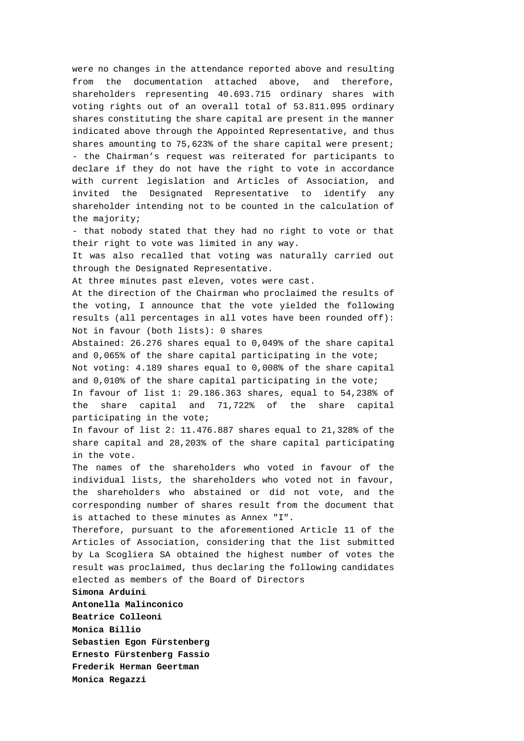were no changes in the attendance reported above and resulting from the documentation attached above, and therefore, shareholders representing 40.693.715 ordinary shares with voting rights out of an overall total of 53.811.095 ordinary shares constituting the share capital are present in the manner indicated above through the Appointed Representative, and thus shares amounting to 75,623% of the share capital were present; - the Chairman's request was reiterated for participants to declare if they do not have the right to vote in accordance with current legislation and Articles of Association, and invited the Designated Representative to identify any shareholder intending not to be counted in the calculation of the majority;

- that nobody stated that they had no right to vote or that their right to vote was limited in any way.

It was also recalled that voting was naturally carried out through the Designated Representative.

At three minutes past eleven, votes were cast.

At the direction of the Chairman who proclaimed the results of the voting, I announce that the vote yielded the following results (all percentages in all votes have been rounded off): Not in favour (both lists): 0 shares

Abstained: 26.276 shares equal to 0,049% of the share capital and 0,065% of the share capital participating in the vote;

Not voting: 4.189 shares equal to 0,008% of the share capital and 0,010% of the share capital participating in the vote;

In favour of list 1: 29.186.363 shares, equal to 54,238% of the share capital and 71,722% of the share capital participating in the vote;

In favour of list 2: 11.476.887 shares equal to 21,328% of the share capital and 28,203% of the share capital participating in the vote.

The names of the shareholders who voted in favour of the individual lists, the shareholders who voted not in favour, the shareholders who abstained or did not vote, and the corresponding number of shares result from the document that is attached to these minutes as Annex "I".

Therefore, pursuant to the aforementioned Article 11 of the Articles of Association, considering that the list submitted by La Scogliera SA obtained the highest number of votes the result was proclaimed, thus declaring the following candidates elected as members of the Board of Directors

**Simona Arduini Antonella Malinconico Beatrice Colleoni Monica Billio Sebastien Egon Fürstenberg Ernesto Fürstenberg Fassio Frederik Herman Geertman Monica Regazzi**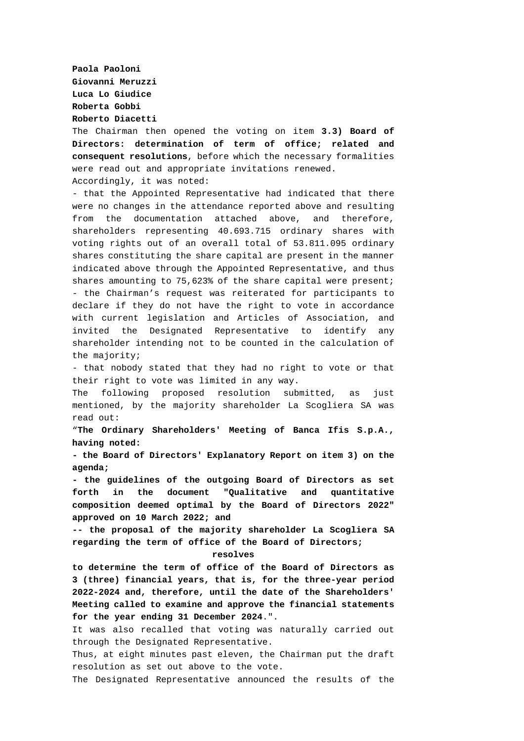**Paola Paoloni Giovanni Meruzzi Luca Lo Giudice Roberta Gobbi Roberto Diacetti** 

The Chairman then opened the voting on item **3.3) Board of Directors: determination of term of office; related and consequent resolutions**, before which the necessary formalities were read out and appropriate invitations renewed. Accordingly, it was noted:

- that the Appointed Representative had indicated that there were no changes in the attendance reported above and resulting from the documentation attached above, and therefore, shareholders representing 40.693.715 ordinary shares with voting rights out of an overall total of 53.811.095 ordinary shares constituting the share capital are present in the manner indicated above through the Appointed Representative, and thus shares amounting to 75,623% of the share capital were present; - the Chairman's request was reiterated for participants to declare if they do not have the right to vote in accordance with current legislation and Articles of Association, and invited the Designated Representative to identify any shareholder intending not to be counted in the calculation of the majority;

- that nobody stated that they had no right to vote or that their right to vote was limited in any way.

The following proposed resolution submitted, as just mentioned, by the majority shareholder La Scogliera SA was read out:

"**The Ordinary Shareholders' Meeting of Banca Ifis S.p.A., having noted:** 

**- the Board of Directors' Explanatory Report on item 3) on the agenda;** 

**- the guidelines of the outgoing Board of Directors as set forth in the document "Qualitative and quantitative composition deemed optimal by the Board of Directors 2022" approved on 10 March 2022; and** 

**-- the proposal of the majority shareholder La Scogliera SA regarding the term of office of the Board of Directors;** 

**resolves** 

**to determine the term of office of the Board of Directors as 3 (three) financial years, that is, for the three-year period 2022-2024 and, therefore, until the date of the Shareholders' Meeting called to examine and approve the financial statements for the year ending 31 December 2024**.".

It was also recalled that voting was naturally carried out through the Designated Representative.

Thus, at eight minutes past eleven, the Chairman put the draft resolution as set out above to the vote.

The Designated Representative announced the results of the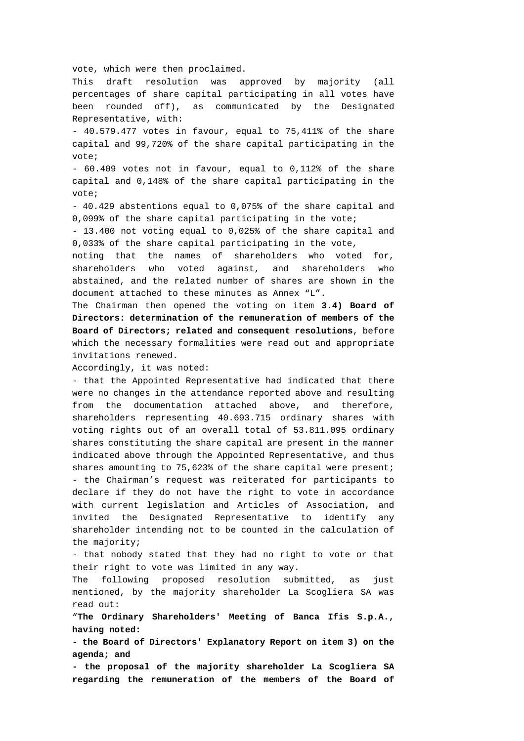vote, which were then proclaimed.

This draft resolution was approved by majority (all percentages of share capital participating in all votes have been rounded off), as communicated by the Designated Representative, with:

- 40.579.477 votes in favour, equal to 75,411% of the share capital and 99,720% of the share capital participating in the vote;

- 60.409 votes not in favour, equal to 0,112% of the share capital and 0,148% of the share capital participating in the vote;

- 40.429 abstentions equal to 0,075% of the share capital and 0,099% of the share capital participating in the vote;

- 13.400 not voting equal to 0,025% of the share capital and 0,033% of the share capital participating in the vote,

noting that the names of shareholders who voted for, shareholders who voted against, and shareholders who abstained, and the related number of shares are shown in the document attached to these minutes as Annex "L".

The Chairman then opened the voting on item **3.4) Board of Directors: determination of the remuneration of members of the Board of Directors; related and consequent resolutions**, before which the necessary formalities were read out and appropriate invitations renewed.

Accordingly, it was noted:

- that the Appointed Representative had indicated that there were no changes in the attendance reported above and resulting from the documentation attached above, and therefore, shareholders representing 40.693.715 ordinary shares with voting rights out of an overall total of 53.811.095 ordinary shares constituting the share capital are present in the manner indicated above through the Appointed Representative, and thus shares amounting to 75,623% of the share capital were present; - the Chairman's request was reiterated for participants to declare if they do not have the right to vote in accordance with current legislation and Articles of Association, and invited the Designated Representative to identify any shareholder intending not to be counted in the calculation of the majority;

- that nobody stated that they had no right to vote or that their right to vote was limited in any way.

The following proposed resolution submitted, as just mentioned, by the majority shareholder La Scogliera SA was read out:

"**The Ordinary Shareholders' Meeting of Banca Ifis S.p.A., having noted:** 

**- the Board of Directors' Explanatory Report on item 3) on the agenda; and** 

**- the proposal of the majority shareholder La Scogliera SA regarding the remuneration of the members of the Board of**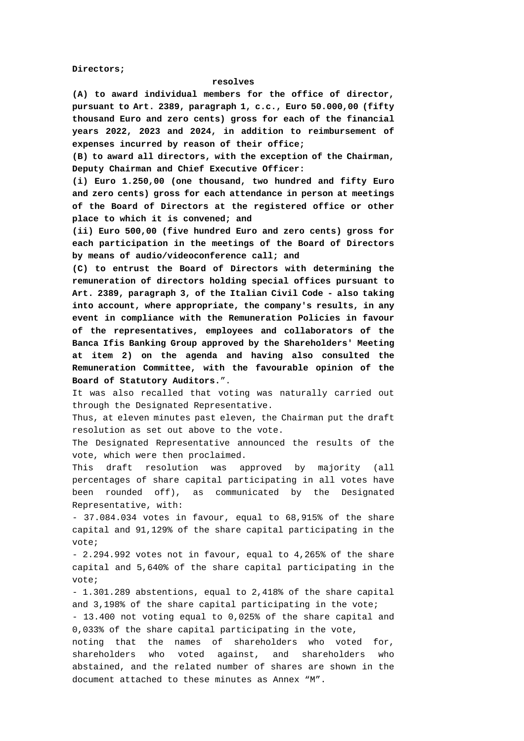**Directors;** 

#### **resolves**

**(A) to award individual members for the office of director, pursuant to Art. 2389, paragraph 1, c.c., Euro 50.000,00 (fifty thousand Euro and zero cents) gross for each of the financial years 2022, 2023 and 2024, in addition to reimbursement of expenses incurred by reason of their office;** 

**(B) to award all directors, with the exception of the Chairman, Deputy Chairman and Chief Executive Officer:** 

**(i) Euro 1.250,00 (one thousand, two hundred and fifty Euro and zero cents) gross for each attendance in person at meetings of the Board of Directors at the registered office or other place to which it is convened; and** 

**(ii) Euro 500,00 (five hundred Euro and zero cents) gross for each participation in the meetings of the Board of Directors by means of audio/videoconference call; and** 

**(C) to entrust the Board of Directors with determining the remuneration of directors holding special offices pursuant to Art. 2389, paragraph 3, of the Italian Civil Code - also taking into account, where appropriate, the company's results, in any event in compliance with the Remuneration Policies in favour of the representatives, employees and collaborators of the Banca Ifis Banking Group approved by the Shareholders' Meeting at item 2) on the agenda and having also consulted the Remuneration Committee, with the favourable opinion of the Board of Statutory Auditors.**".

It was also recalled that voting was naturally carried out through the Designated Representative.

Thus, at eleven minutes past eleven, the Chairman put the draft resolution as set out above to the vote.

The Designated Representative announced the results of the vote, which were then proclaimed.

This draft resolution was approved by majority (all percentages of share capital participating in all votes have been rounded off), as communicated by the Designated Representative, with:

- 37.084.034 votes in favour, equal to 68,915% of the share capital and 91,129% of the share capital participating in the vote;

- 2.294.992 votes not in favour, equal to 4,265% of the share capital and 5,640% of the share capital participating in the vote;

- 1.301.289 abstentions, equal to 2,418% of the share capital and 3,198% of the share capital participating in the vote;

- 13.400 not voting equal to 0,025% of the share capital and 0,033% of the share capital participating in the vote,

noting that the names of shareholders who voted for, shareholders who voted against, and shareholders who abstained, and the related number of shares are shown in the document attached to these minutes as Annex "M".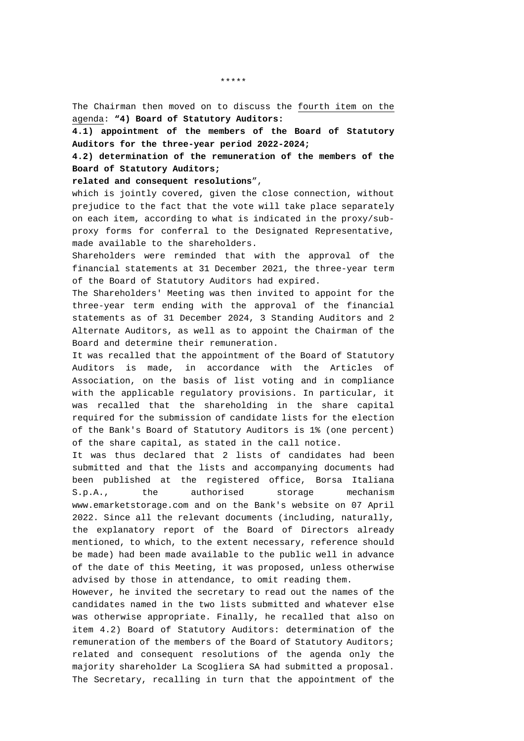The Chairman then moved on to discuss the fourth item on the agenda: **"4) Board of Statutory Auditors:** 

**4.1) appointment of the members of the Board of Statutory Auditors for the three-year period 2022-2024;** 

**4.2) determination of the remuneration of the members of the Board of Statutory Auditors;** 

**related and consequent resolutions**",

which is jointly covered, given the close connection, without prejudice to the fact that the vote will take place separately on each item, according to what is indicated in the proxy/subproxy forms for conferral to the Designated Representative, made available to the shareholders.

Shareholders were reminded that with the approval of the financial statements at 31 December 2021, the three-year term of the Board of Statutory Auditors had expired.

The Shareholders' Meeting was then invited to appoint for the three-year term ending with the approval of the financial statements as of 31 December 2024, 3 Standing Auditors and 2 Alternate Auditors, as well as to appoint the Chairman of the Board and determine their remuneration.

It was recalled that the appointment of the Board of Statutory Auditors is made, in accordance with the Articles of Association, on the basis of list voting and in compliance with the applicable regulatory provisions. In particular, it was recalled that the shareholding in the share capital required for the submission of candidate lists for the election of the Bank's Board of Statutory Auditors is 1% (one percent) of the share capital, as stated in the call notice.

It was thus declared that 2 lists of candidates had been submitted and that the lists and accompanying documents had been published at the registered office, Borsa Italiana S.p.A., the authorised storage mechanism www.emarketstorage.com and on the Bank's website on 07 April 2022. Since all the relevant documents (including, naturally, the explanatory report of the Board of Directors already mentioned, to which, to the extent necessary, reference should be made) had been made available to the public well in advance of the date of this Meeting, it was proposed, unless otherwise advised by those in attendance, to omit reading them.

However, he invited the secretary to read out the names of the candidates named in the two lists submitted and whatever else was otherwise appropriate. Finally, he recalled that also on item 4.2) Board of Statutory Auditors: determination of the remuneration of the members of the Board of Statutory Auditors; related and consequent resolutions of the agenda only the majority shareholder La Scogliera SA had submitted a proposal. The Secretary, recalling in turn that the appointment of the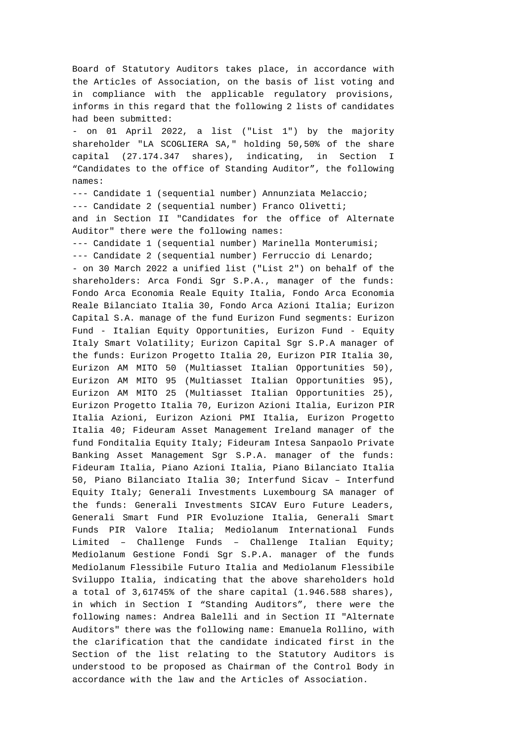Board of Statutory Auditors takes place, in accordance with the Articles of Association, on the basis of list voting and in compliance with the applicable regulatory provisions, informs in this regard that the following 2 lists of candidates had been submitted: - on 01 April 2022, a list ("List 1") by the majority shareholder "LA SCOGLIERA SA," holding 50,50% of the share capital (27.174.347 shares), indicating, in Section I "Candidates to the office of Standing Auditor", the following names: --- Candidate 1 (sequential number) Annunziata Melaccio; --- Candidate 2 (sequential number) Franco Olivetti; and in Section II "Candidates for the office of Alternate Auditor" there were the following names: --- Candidate 1 (sequential number) Marinella Monterumisi; --- Candidate 2 (sequential number) Ferruccio di Lenardo; - on 30 March 2022 a unified list ("List 2") on behalf of the shareholders: Arca Fondi Sgr S.P.A., manager of the funds: Fondo Arca Economia Reale Equity Italia, Fondo Arca Economia Reale Bilanciato Italia 30, Fondo Arca Azioni Italia; Eurizon Capital S.A. manage of the fund Eurizon Fund segments: Eurizon Fund - Italian Equity Opportunities, Eurizon Fund - Equity Italy Smart Volatility; Eurizon Capital Sgr S.P.A manager of the funds: Eurizon Progetto Italia 20, Eurizon PIR Italia 30, Eurizon AM MITO 50 (Multiasset Italian Opportunities 50), Eurizon AM MITO 95 (Multiasset Italian Opportunities 95), Eurizon AM MITO 25 (Multiasset Italian Opportunities 25), Eurizon Progetto Italia 70, Eurizon Azioni Italia, Eurizon PIR Italia Azioni, Eurizon Azioni PMI Italia, Eurizon Progetto Italia 40; Fideuram Asset Management Ireland manager of the fund Fonditalia Equity Italy; Fideuram Intesa Sanpaolo Private Banking Asset Management Sgr S.P.A. manager of the funds: Fideuram Italia, Piano Azioni Italia, Piano Bilanciato Italia 50, Piano Bilanciato Italia 30; Interfund Sicav – Interfund Equity Italy; Generali Investments Luxembourg SA manager of the funds: Generali Investments SICAV Euro Future Leaders, Generali Smart Fund PIR Evoluzione Italia, Generali Smart Funds PIR Valore Italia; Mediolanum International Funds Limited – Challenge Funds – Challenge Italian Equity; Mediolanum Gestione Fondi Sgr S.P.A. manager of the funds Mediolanum Flessibile Futuro Italia and Mediolanum Flessibile Sviluppo Italia, indicating that the above shareholders hold a total of 3,61745% of the share capital (1.946.588 shares), in which in Section I "Standing Auditors", there were the following names: Andrea Balelli and in Section II "Alternate Auditors" there was the following name: Emanuela Rollino, with the clarification that the candidate indicated first in the Section of the list relating to the Statutory Auditors is understood to be proposed as Chairman of the Control Body in accordance with the law and the Articles of Association.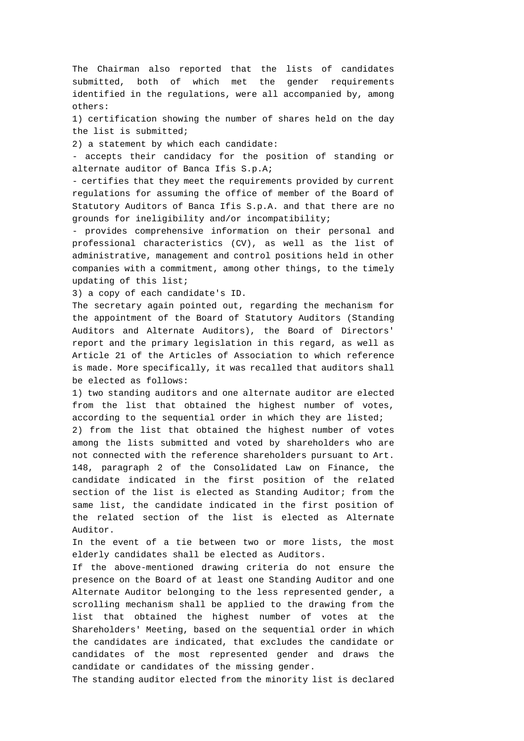The Chairman also reported that the lists of candidates submitted, both of which met the gender requirements identified in the regulations, were all accompanied by, among others:

1) certification showing the number of shares held on the day the list is submitted;

2) a statement by which each candidate:

- accepts their candidacy for the position of standing or alternate auditor of Banca Ifis S.p.A;

- certifies that they meet the requirements provided by current regulations for assuming the office of member of the Board of Statutory Auditors of Banca Ifis S.p.A. and that there are no grounds for ineligibility and/or incompatibility;

- provides comprehensive information on their personal and professional characteristics (CV), as well as the list of administrative, management and control positions held in other companies with a commitment, among other things, to the timely updating of this list;

3) a copy of each candidate's ID.

The secretary again pointed out, regarding the mechanism for the appointment of the Board of Statutory Auditors (Standing Auditors and Alternate Auditors), the Board of Directors' report and the primary legislation in this regard, as well as Article 21 of the Articles of Association to which reference is made. More specifically, it was recalled that auditors shall be elected as follows:

1) two standing auditors and one alternate auditor are elected from the list that obtained the highest number of votes, according to the sequential order in which they are listed;

2) from the list that obtained the highest number of votes among the lists submitted and voted by shareholders who are not connected with the reference shareholders pursuant to Art. 148, paragraph 2 of the Consolidated Law on Finance, the candidate indicated in the first position of the related section of the list is elected as Standing Auditor; from the same list, the candidate indicated in the first position of the related section of the list is elected as Alternate Auditor.

In the event of a tie between two or more lists, the most elderly candidates shall be elected as Auditors.

If the above-mentioned drawing criteria do not ensure the presence on the Board of at least one Standing Auditor and one Alternate Auditor belonging to the less represented gender, a scrolling mechanism shall be applied to the drawing from the list that obtained the highest number of votes at the Shareholders' Meeting, based on the sequential order in which the candidates are indicated, that excludes the candidate or candidates of the most represented gender and draws the candidate or candidates of the missing gender.

The standing auditor elected from the minority list is declared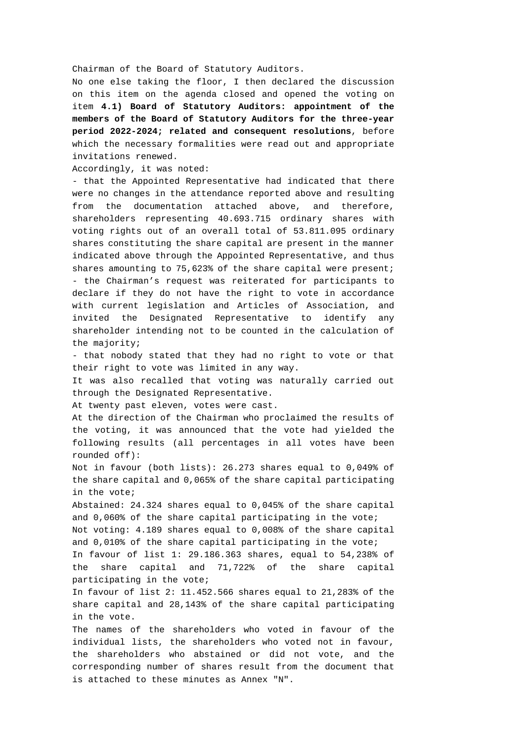Chairman of the Board of Statutory Auditors.

No one else taking the floor, I then declared the discussion on this item on the agenda closed and opened the voting on item **4.1) Board of Statutory Auditors: appointment of the members of the Board of Statutory Auditors for the three-year period 2022-2024; related and consequent resolutions**, before which the necessary formalities were read out and appropriate invitations renewed.

Accordingly, it was noted:

- that the Appointed Representative had indicated that there were no changes in the attendance reported above and resulting from the documentation attached above, and therefore, shareholders representing 40.693.715 ordinary shares with voting rights out of an overall total of 53.811.095 ordinary shares constituting the share capital are present in the manner indicated above through the Appointed Representative, and thus shares amounting to 75,623% of the share capital were present; - the Chairman's request was reiterated for participants to declare if they do not have the right to vote in accordance with current legislation and Articles of Association, and invited the Designated Representative to identify any shareholder intending not to be counted in the calculation of the majority;

- that nobody stated that they had no right to vote or that their right to vote was limited in any way.

It was also recalled that voting was naturally carried out through the Designated Representative.

At twenty past eleven, votes were cast.

At the direction of the Chairman who proclaimed the results of the voting, it was announced that the vote had yielded the following results (all percentages in all votes have been rounded off):

Not in favour (both lists): 26.273 shares equal to 0,049% of the share capital and 0,065% of the share capital participating in the vote;

Abstained: 24.324 shares equal to 0,045% of the share capital and 0,060% of the share capital participating in the vote;

Not voting: 4.189 shares equal to 0,008% of the share capital and 0,010% of the share capital participating in the vote;

In favour of list 1: 29.186.363 shares, equal to 54,238% of the share capital and 71,722% of the share capital participating in the vote;

In favour of list 2: 11.452.566 shares equal to 21,283% of the share capital and 28,143% of the share capital participating in the vote.

The names of the shareholders who voted in favour of the individual lists, the shareholders who voted not in favour, the shareholders who abstained or did not vote, and the corresponding number of shares result from the document that is attached to these minutes as Annex "N".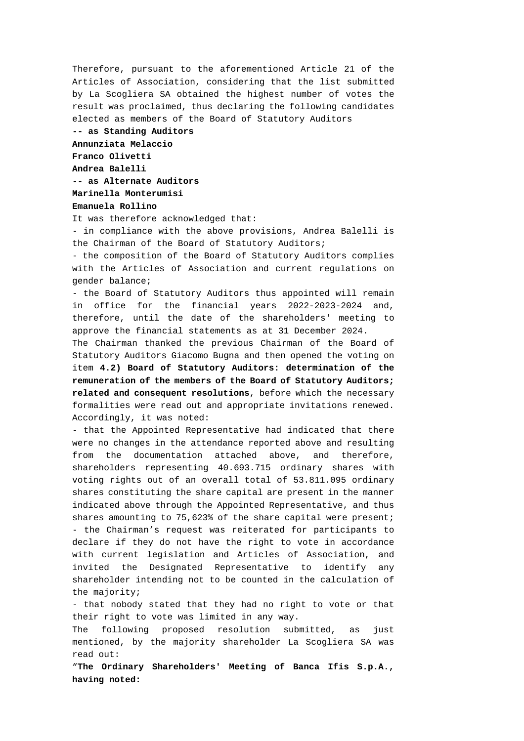Therefore, pursuant to the aforementioned Article 21 of the Articles of Association, considering that the list submitted by La Scogliera SA obtained the highest number of votes the result was proclaimed, thus declaring the following candidates elected as members of the Board of Statutory Auditors

**-- as Standing Auditors Annunziata Melaccio Franco Olivetti Andrea Balelli -- as Alternate Auditors Marinella Monterumisi** 

**Emanuela Rollino** 

It was therefore acknowledged that:

- in compliance with the above provisions, Andrea Balelli is the Chairman of the Board of Statutory Auditors;

- the composition of the Board of Statutory Auditors complies with the Articles of Association and current regulations on gender balance;

- the Board of Statutory Auditors thus appointed will remain in office for the financial years 2022-2023-2024 and, therefore, until the date of the shareholders' meeting to approve the financial statements as at 31 December 2024.

The Chairman thanked the previous Chairman of the Board of Statutory Auditors Giacomo Bugna and then opened the voting on item **4.2) Board of Statutory Auditors: determination of the remuneration of the members of the Board of Statutory Auditors; related and consequent resolutions**, before which the necessary formalities were read out and appropriate invitations renewed. Accordingly, it was noted:

- that the Appointed Representative had indicated that there were no changes in the attendance reported above and resulting from the documentation attached above, and therefore, shareholders representing 40.693.715 ordinary shares with voting rights out of an overall total of 53.811.095 ordinary shares constituting the share capital are present in the manner indicated above through the Appointed Representative, and thus shares amounting to 75,623% of the share capital were present; - the Chairman's request was reiterated for participants to declare if they do not have the right to vote in accordance with current legislation and Articles of Association, and invited the Designated Representative to identify any shareholder intending not to be counted in the calculation of the majority;

- that nobody stated that they had no right to vote or that their right to vote was limited in any way.

The following proposed resolution submitted, as just mentioned, by the majority shareholder La Scogliera SA was read out:

"**The Ordinary Shareholders' Meeting of Banca Ifis S.p.A., having noted:**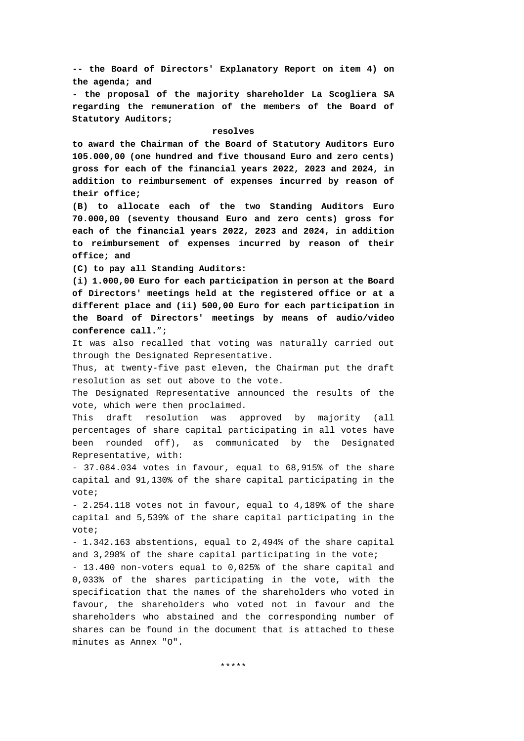**-- the Board of Directors' Explanatory Report on item 4) on the agenda; and** 

**- the proposal of the majority shareholder La Scogliera SA regarding the remuneration of the members of the Board of Statutory Auditors;** 

#### **resolves**

**to award the Chairman of the Board of Statutory Auditors Euro 105.000,00 (one hundred and five thousand Euro and zero cents) gross for each of the financial years 2022, 2023 and 2024, in addition to reimbursement of expenses incurred by reason of their office;** 

**(B) to allocate each of the two Standing Auditors Euro 70.000,00 (seventy thousand Euro and zero cents) gross for each of the financial years 2022, 2023 and 2024, in addition to reimbursement of expenses incurred by reason of their office; and** 

**(C) to pay all Standing Auditors:** 

**(i) 1.000,00 Euro for each participation in person at the Board of Directors' meetings held at the registered office or at a different place and (ii) 500,00 Euro for each participation in the Board of Directors' meetings by means of audio/video conference call.**";

It was also recalled that voting was naturally carried out through the Designated Representative.

Thus, at twenty-five past eleven, the Chairman put the draft resolution as set out above to the vote.

The Designated Representative announced the results of the vote, which were then proclaimed.

This draft resolution was approved by majority (all percentages of share capital participating in all votes have been rounded off), as communicated by the Designated Representative, with:

- 37.084.034 votes in favour, equal to 68,915% of the share capital and 91,130% of the share capital participating in the vote;

- 2.254.118 votes not in favour, equal to 4,189% of the share capital and 5,539% of the share capital participating in the vote;

- 1.342.163 abstentions, equal to 2,494% of the share capital and 3,298% of the share capital participating in the vote;

- 13.400 non-voters equal to 0,025% of the share capital and 0,033% of the shares participating in the vote, with the specification that the names of the shareholders who voted in favour, the shareholders who voted not in favour and the shareholders who abstained and the corresponding number of shares can be found in the document that is attached to these minutes as Annex "O".

\*\*\*\*\*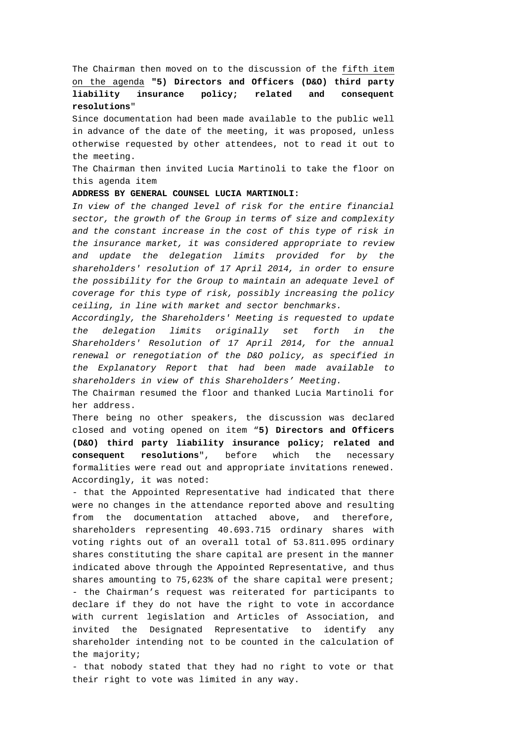The Chairman then moved on to the discussion of the fifth item on the agenda **"5) Directors and Officers (D&O) third party liability insurance policy; related and consequent resolutions**"

Since documentation had been made available to the public well in advance of the date of the meeting, it was proposed, unless otherwise requested by other attendees, not to read it out to the meeting.

The Chairman then invited Lucia Martinoli to take the floor on this agenda item

## **ADDRESS BY GENERAL COUNSEL LUCIA MARTINOLI:**

*In view of the changed level of risk for the entire financial sector, the growth of the Group in terms of size and complexity and the constant increase in the cost of this type of risk in the insurance market, it was considered appropriate to review and update the delegation limits provided for by the shareholders' resolution of 17 April 2014, in order to ensure the possibility for the Group to maintain an adequate level of coverage for this type of risk, possibly increasing the policy ceiling, in line with market and sector benchmarks.* 

*Accordingly, the Shareholders' Meeting is requested to update the delegation limits originally set forth in the Shareholders' Resolution of 17 April 2014, for the annual renewal or renegotiation of the D&O policy, as specified in the Explanatory Report that had been made available to shareholders in view of this Shareholders' Meeting.* 

The Chairman resumed the floor and thanked Lucia Martinoli for her address.

There being no other speakers, the discussion was declared closed and voting opened on item "**5) Directors and Officers (D&O) third party liability insurance policy; related and consequent resolutions**", before which the necessary formalities were read out and appropriate invitations renewed. Accordingly, it was noted:

- that the Appointed Representative had indicated that there were no changes in the attendance reported above and resulting from the documentation attached above, and therefore, shareholders representing 40.693.715 ordinary shares with voting rights out of an overall total of 53.811.095 ordinary shares constituting the share capital are present in the manner indicated above through the Appointed Representative, and thus shares amounting to 75,623% of the share capital were present; - the Chairman's request was reiterated for participants to declare if they do not have the right to vote in accordance with current legislation and Articles of Association, and invited the Designated Representative to identify any shareholder intending not to be counted in the calculation of the majority;

- that nobody stated that they had no right to vote or that their right to vote was limited in any way.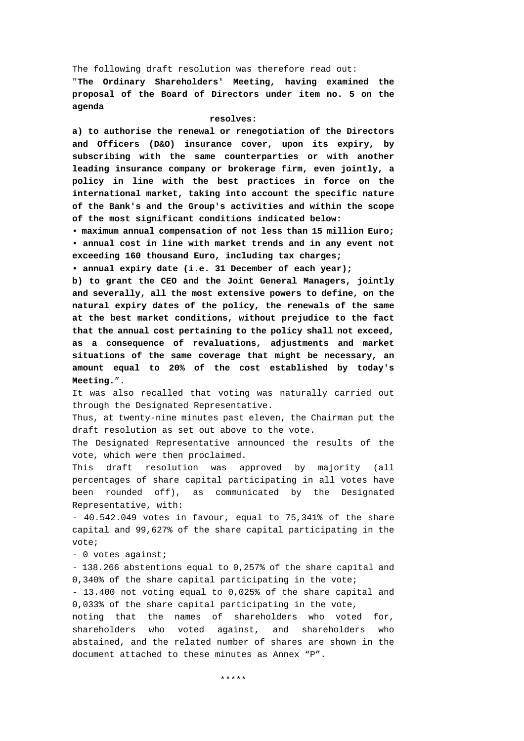The following draft resolution was therefore read out:

"**The Ordinary Shareholders' Meeting, having examined the proposal of the Board of Directors under item no. 5 on the agenda** 

### **resolves:**

**a) to authorise the renewal or renegotiation of the Directors and Officers (D&O) insurance cover, upon its expiry, by subscribing with the same counterparties or with another leading insurance company or brokerage firm, even jointly, a policy in line with the best practices in force on the international market, taking into account the specific nature of the Bank's and the Group's activities and within the scope of the most significant conditions indicated below:** 

**• maximum annual compensation of not less than 15 million Euro; • annual cost in line with market trends and in any event not exceeding 160 thousand Euro, including tax charges;** 

**• annual expiry date (i.e. 31 December of each year);** 

**b) to grant the CEO and the Joint General Managers, jointly and severally, all the most extensive powers to define, on the natural expiry dates of the policy, the renewals of the same at the best market conditions, without prejudice to the fact that the annual cost pertaining to the policy shall not exceed, as a consequence of revaluations, adjustments and market situations of the same coverage that might be necessary, an amount equal to 20% of the cost established by today's Meeting.**".

It was also recalled that voting was naturally carried out through the Designated Representative.

Thus, at twenty-nine minutes past eleven, the Chairman put the draft resolution as set out above to the vote.

The Designated Representative announced the results of the vote, which were then proclaimed.

This draft resolution was approved by majority (all percentages of share capital participating in all votes have been rounded off), as communicated by the Designated Representative, with:

- 40.542.049 votes in favour, equal to 75,341% of the share capital and 99,627% of the share capital participating in the vote;

- 0 votes against;

- 138.266 abstentions equal to 0,257% of the share capital and 0,340% of the share capital participating in the vote;

- 13.400 not voting equal to 0,025% of the share capital and 0,033% of the share capital participating in the vote,

noting that the names of shareholders who voted for, shareholders who voted against, and shareholders who abstained, and the related number of shares are shown in the document attached to these minutes as Annex "P".

\*\*\*\*\*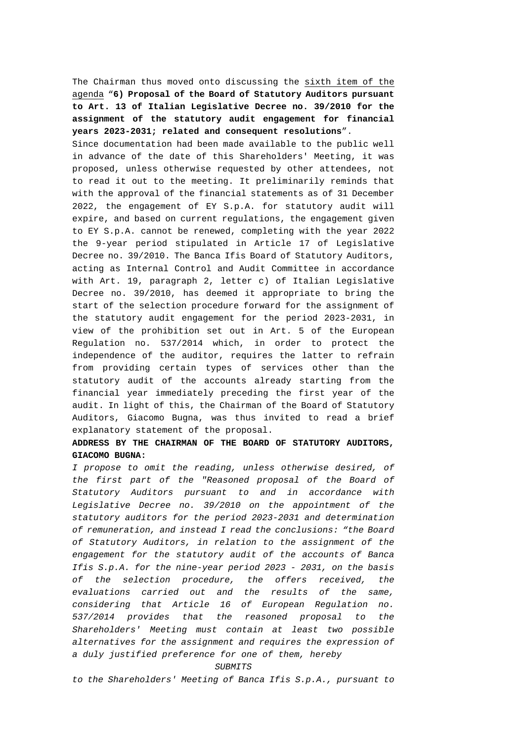The Chairman thus moved onto discussing the sixth item of the agenda "**6) Proposal of the Board of Statutory Auditors pursuant to Art. 13 of Italian Legislative Decree no. 39/2010 for the assignment of the statutory audit engagement for financial years 2023-2031; related and consequent resolutions**".

Since documentation had been made available to the public well in advance of the date of this Shareholders' Meeting, it was proposed, unless otherwise requested by other attendees, not to read it out to the meeting. It preliminarily reminds that with the approval of the financial statements as of 31 December 2022, the engagement of EY S.p.A. for statutory audit will expire, and based on current regulations, the engagement given to EY S.p.A. cannot be renewed, completing with the year 2022 the 9-year period stipulated in Article 17 of Legislative Decree no. 39/2010. The Banca Ifis Board of Statutory Auditors, acting as Internal Control and Audit Committee in accordance with Art. 19, paragraph 2, letter c) of Italian Legislative Decree no. 39/2010, has deemed it appropriate to bring the start of the selection procedure forward for the assignment of the statutory audit engagement for the period 2023-2031, in view of the prohibition set out in Art. 5 of the European Regulation no. 537/2014 which, in order to protect the independence of the auditor, requires the latter to refrain from providing certain types of services other than the statutory audit of the accounts already starting from the financial year immediately preceding the first year of the audit. In light of this, the Chairman of the Board of Statutory Auditors, Giacomo Bugna, was thus invited to read a brief explanatory statement of the proposal.

# **ADDRESS BY THE CHAIRMAN OF THE BOARD OF STATUTORY AUDITORS, GIACOMO BUGNA:**

*I propose to omit the reading, unless otherwise desired, of the first part of the "Reasoned proposal of the Board of Statutory Auditors pursuant to and in accordance with*  Legislative Decree no. 39/2010 on the appointment of the *statutory auditors for the period 2023-2031 and determination of remuneration, and instead I read the conclusions: "the Board of Statutory Auditors, in relation to the assignment of the engagement for the statutory audit of the accounts of Banca Ifis S.p.A. for the nine-year period 2023 - 2031, on the basis of the selection procedure, the offers received, the evaluations carried out and the results of the same, considering that Article 16 of European Regulation no. 537/2014 provides that the reasoned proposal to the Shareholders' Meeting must contain at least two possible alternatives for the assignment and requires the expression of a duly justified preference for one of them, hereby* 

#### *SUBMITS*

*to the Shareholders' Meeting of Banca Ifis S.p.A., pursuant to*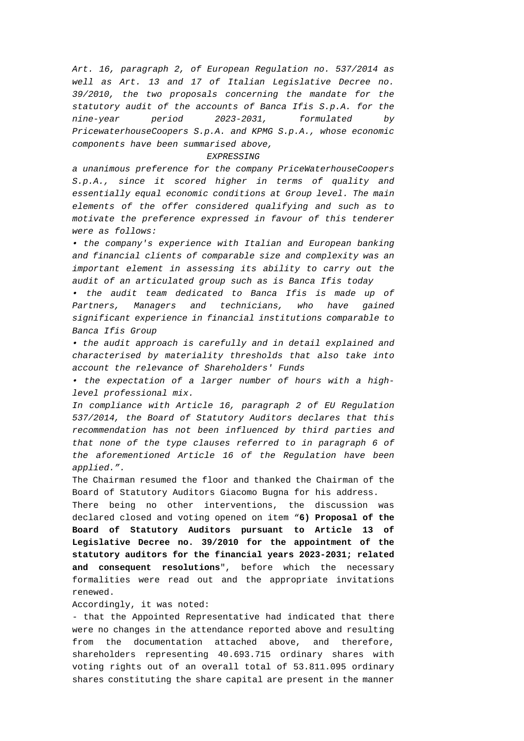*Art. 16, paragraph 2, of European Regulation no. 537/2014 as well as Art. 13 and 17 of Italian Legislative Decree no. 39/2010, the two proposals concerning the mandate for the statutory audit of the accounts of Banca Ifis S.p.A. for the nine-year period 2023-2031, formulated by PricewaterhouseCoopers S.p.A. and KPMG S.p.A., whose economic components have been summarised above,* 

### *EXPRESSING*

*a unanimous preference for the company PriceWaterhouseCoopers S.p.A., since it scored higher in terms of quality and essentially equal economic conditions at Group level. The main elements of the offer considered qualifying and such as to motivate the preference expressed in favour of this tenderer were as follows:* 

*• the company's experience with Italian and European banking and financial clients of comparable size and complexity was an important element in assessing its ability to carry out the audit of an articulated group such as is Banca Ifis today* 

*• the audit team dedicated to Banca Ifis is made up of Partners, Managers and technicians, who have gained significant experience in financial institutions comparable to Banca Ifis Group* 

*• the audit approach is carefully and in detail explained and characterised by materiality thresholds that also take into account the relevance of Shareholders' Funds* 

*• the expectation of a larger number of hours with a highlevel professional mix.* 

*In compliance with Article 16, paragraph 2 of EU Regulation 537/2014, the Board of Statutory Auditors declares that this recommendation has not been influenced by third parties and that none of the type clauses referred to in paragraph 6 of the aforementioned Article 16 of the Regulation have been applied.".* 

The Chairman resumed the floor and thanked the Chairman of the Board of Statutory Auditors Giacomo Bugna for his address.

There being no other interventions, the discussion was declared closed and voting opened on item "**6) Proposal of the Board of Statutory Auditors pursuant to Article 13 of Legislative Decree no. 39/2010 for the appointment of the statutory auditors for the financial years 2023-2031; related and consequent resolutions**", before which the necessary formalities were read out and the appropriate invitations renewed.

Accordingly, it was noted:

- that the Appointed Representative had indicated that there were no changes in the attendance reported above and resulting from the documentation attached above, and therefore, shareholders representing 40.693.715 ordinary shares with voting rights out of an overall total of 53.811.095 ordinary shares constituting the share capital are present in the manner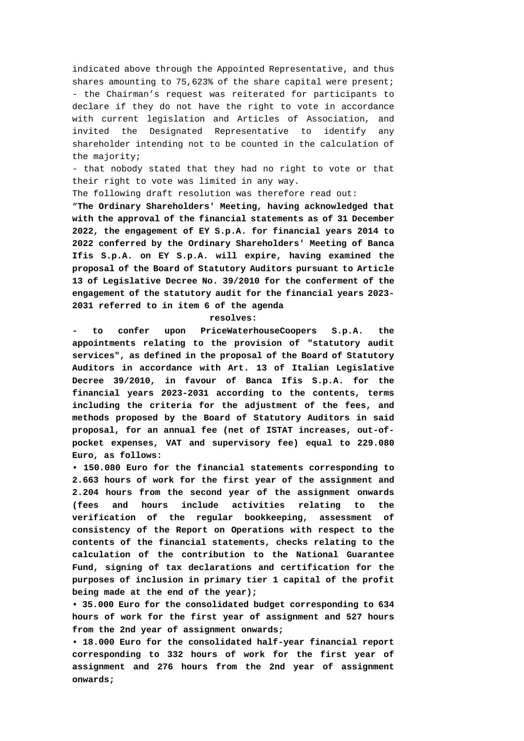indicated above through the Appointed Representative, and thus shares amounting to 75,623% of the share capital were present; - the Chairman's request was reiterated for participants to declare if they do not have the right to vote in accordance with current legislation and Articles of Association, and invited the Designated Representative to identify any shareholder intending not to be counted in the calculation of the majority;

- that nobody stated that they had no right to vote or that their right to vote was limited in any way.

The following draft resolution was therefore read out:

"**The Ordinary Shareholders' Meeting, having acknowledged that with the approval of the financial statements as of 31 December 2022, the engagement of EY S.p.A. for financial years 2014 to 2022 conferred by the Ordinary Shareholders' Meeting of Banca Ifis S.p.A. on EY S.p.A. will expire, having examined the proposal of the Board of Statutory Auditors pursuant to Article 13 of Legislative Decree No. 39/2010 for the conferment of the engagement of the statutory audit for the financial years 2023- 2031 referred to in item 6 of the agenda** 

## **resolves:**

**- to confer upon PriceWaterhouseCoopers S.p.A. the appointments relating to the provision of "statutory audit services", as defined in the proposal of the Board of Statutory Auditors in accordance with Art. 13 of Italian Legislative Decree 39/2010, in favour of Banca Ifis S.p.A. for the financial years 2023-2031 according to the contents, terms including the criteria for the adjustment of the fees, and methods proposed by the Board of Statutory Auditors in said proposal, for an annual fee (net of ISTAT increases, out-ofpocket expenses, VAT and supervisory fee) equal to 229.080 Euro, as follows:** 

**• 150.080 Euro for the financial statements corresponding to 2.663 hours of work for the first year of the assignment and 2.204 hours from the second year of the assignment onwards (fees and hours include activities relating to the verification of the regular bookkeeping, assessment of consistency of the Report on Operations with respect to the contents of the financial statements, checks relating to the calculation of the contribution to the National Guarantee Fund, signing of tax declarations and certification for the purposes of inclusion in primary tier 1 capital of the profit being made at the end of the year);** 

**• 35.000 Euro for the consolidated budget corresponding to 634 hours of work for the first year of assignment and 527 hours from the 2nd year of assignment onwards;** 

**• 18.000 Euro for the consolidated half-year financial report corresponding to 332 hours of work for the first year of assignment and 276 hours from the 2nd year of assignment onwards;**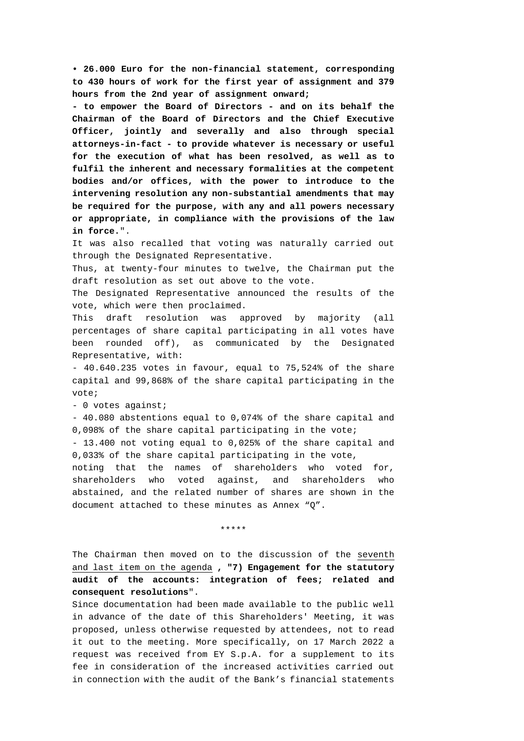**• 26.000 Euro for the non-financial statement, corresponding to 430 hours of work for the first year of assignment and 379 hours from the 2nd year of assignment onward;** 

**- to empower the Board of Directors - and on its behalf the Chairman of the Board of Directors and the Chief Executive Officer, jointly and severally and also through special attorneys-in-fact - to provide whatever is necessary or useful for the execution of what has been resolved, as well as to fulfil the inherent and necessary formalities at the competent bodies and/or offices, with the power to introduce to the intervening resolution any non-substantial amendments that may be required for the purpose, with any and all powers necessary or appropriate, in compliance with the provisions of the law in force.**".

It was also recalled that voting was naturally carried out through the Designated Representative.

Thus, at twenty-four minutes to twelve, the Chairman put the draft resolution as set out above to the vote.

The Designated Representative announced the results of the vote, which were then proclaimed.

This draft resolution was approved by majority (all percentages of share capital participating in all votes have been rounded off), as communicated by the Designated Representative, with:

- 40.640.235 votes in favour, equal to 75,524% of the share capital and 99,868% of the share capital participating in the vote;

- 0 votes against;

- 40.080 abstentions equal to 0,074% of the share capital and 0,098% of the share capital participating in the vote;

- 13.400 not voting equal to 0,025% of the share capital and 0,033% of the share capital participating in the vote,

noting that the names of shareholders who voted for, shareholders who voted against, and shareholders who abstained, and the related number of shares are shown in the document attached to these minutes as Annex "Q".

\*\*\*\*\*

The Chairman then moved on to the discussion of the seventh and last item on the agenda **, "7) Engagement for the statutory audit of the accounts: integration of fees; related and consequent resolutions**".

Since documentation had been made available to the public well in advance of the date of this Shareholders' Meeting, it was proposed, unless otherwise requested by attendees, not to read it out to the meeting. More specifically, on 17 March 2022 a request was received from EY S.p.A. for a supplement to its fee in consideration of the increased activities carried out in connection with the audit of the Bank's financial statements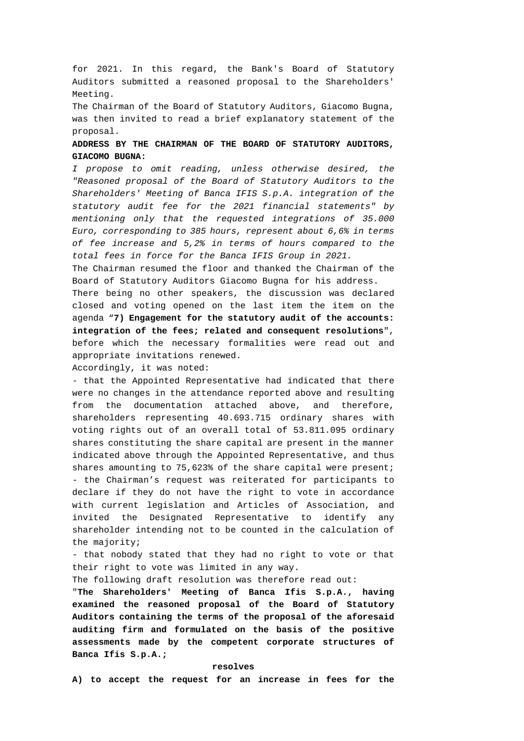for 2021. In this regard, the Bank's Board of Statutory Auditors submitted a reasoned proposal to the Shareholders' Meeting.

The Chairman of the Board of Statutory Auditors, Giacomo Bugna, was then invited to read a brief explanatory statement of the proposal.

# **ADDRESS BY THE CHAIRMAN OF THE BOARD OF STATUTORY AUDITORS, GIACOMO BUGNA:**

*I propose to omit reading, unless otherwise desired, the "Reasoned proposal of the Board of Statutory Auditors to the Shareholders' Meeting of Banca IFIS S.p.A. integration of the statutory audit fee for the 2021 financial statements" by mentioning only that the requested integrations of 35.000 Euro, corresponding to 385 hours, represent about 6,6% in terms of fee increase and 5,2% in terms of hours compared to the total fees in force for the Banca IFIS Group in 2021.*

The Chairman resumed the floor and thanked the Chairman of the Board of Statutory Auditors Giacomo Bugna for his address.

There being no other speakers, the discussion was declared closed and voting opened on the last item the item on the agenda "**7) Engagement for the statutory audit of the accounts: integration of the fees; related and consequent resolutions**", before which the necessary formalities were read out and appropriate invitations renewed.

Accordingly, it was noted:

- that the Appointed Representative had indicated that there were no changes in the attendance reported above and resulting from the documentation attached above, and therefore, shareholders representing 40.693.715 ordinary shares with voting rights out of an overall total of 53.811.095 ordinary shares constituting the share capital are present in the manner indicated above through the Appointed Representative, and thus shares amounting to 75,623% of the share capital were present; - the Chairman's request was reiterated for participants to declare if they do not have the right to vote in accordance with current legislation and Articles of Association, and invited the Designated Representative to identify any shareholder intending not to be counted in the calculation of the majority;

- that nobody stated that they had no right to vote or that their right to vote was limited in any way.

The following draft resolution was therefore read out:

"**The Shareholders' Meeting of Banca Ifis S.p.A., having examined the reasoned proposal of the Board of Statutory Auditors containing the terms of the proposal of the aforesaid auditing firm and formulated on the basis of the positive assessments made by the competent corporate structures of Banca Ifis S.p.A.;** 

### **resolves**

**A) to accept the request for an increase in fees for the**